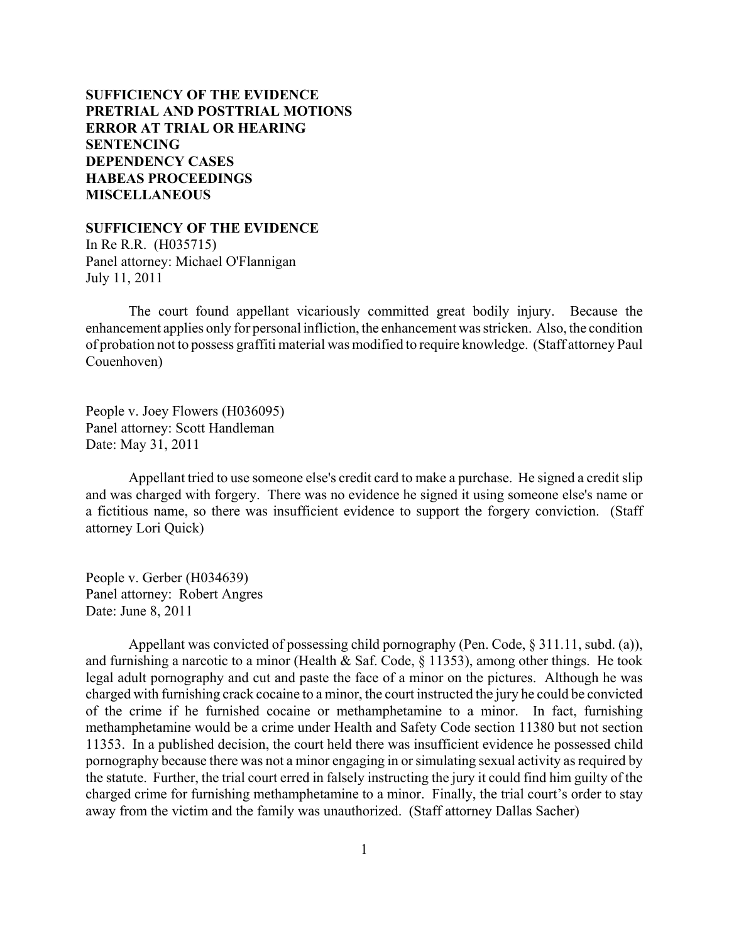**SUFFICIENCY OF THE EVIDENCE [PRETRIAL AND POSTTRIAL MOTIONS](#page-2-0) [ERROR AT TRIAL OR HEARING](#page-4-0) [SENTENCING](#page-7-0) [DEPENDENCY CASES](#page-24-0) [HABEAS PROCEEDINGS](#page-26-0)  [MISCELLANEOUS](#page-27-0)**

**SUFFICIENCY OF THE EVIDENCE**

In Re R.R. (H035715) Panel attorney: Michael O'Flannigan July 11, 2011

The court found appellant vicariously committed great bodily injury. Because the enhancement applies only for personal infliction, the enhancement was stricken. Also, the condition of probation not to possess graffiti material was modified to require knowledge. (Staff attorney Paul Couenhoven)

People v. Joey Flowers (H036095) Panel attorney: Scott Handleman Date: May 31, 2011

Appellant tried to use someone else's credit card to make a purchase. He signed a credit slip and was charged with forgery. There was no evidence he signed it using someone else's name or a fictitious name, so there was insufficient evidence to support the forgery conviction. (Staff attorney Lori Quick)

People v. Gerber (H034639) Panel attorney: Robert Angres Date: June 8, 2011

Appellant was convicted of possessing child pornography (Pen. Code, § 311.11, subd. (a)), and furnishing a narcotic to a minor (Health & Saf. Code,  $\S$  11353), among other things. He took legal adult pornography and cut and paste the face of a minor on the pictures. Although he was charged with furnishing crack cocaine to a minor, the court instructed the jury he could be convicted of the crime if he furnished cocaine or methamphetamine to a minor. In fact, furnishing methamphetamine would be a crime under Health and Safety Code section 11380 but not section 11353. In a published decision, the court held there was insufficient evidence he possessed child pornography because there was not a minor engaging in or simulating sexual activity as required by the statute. Further, the trial court erred in falsely instructing the jury it could find him guilty of the charged crime for furnishing methamphetamine to a minor. Finally, the trial court's order to stay away from the victim and the family was unauthorized. (Staff attorney Dallas Sacher)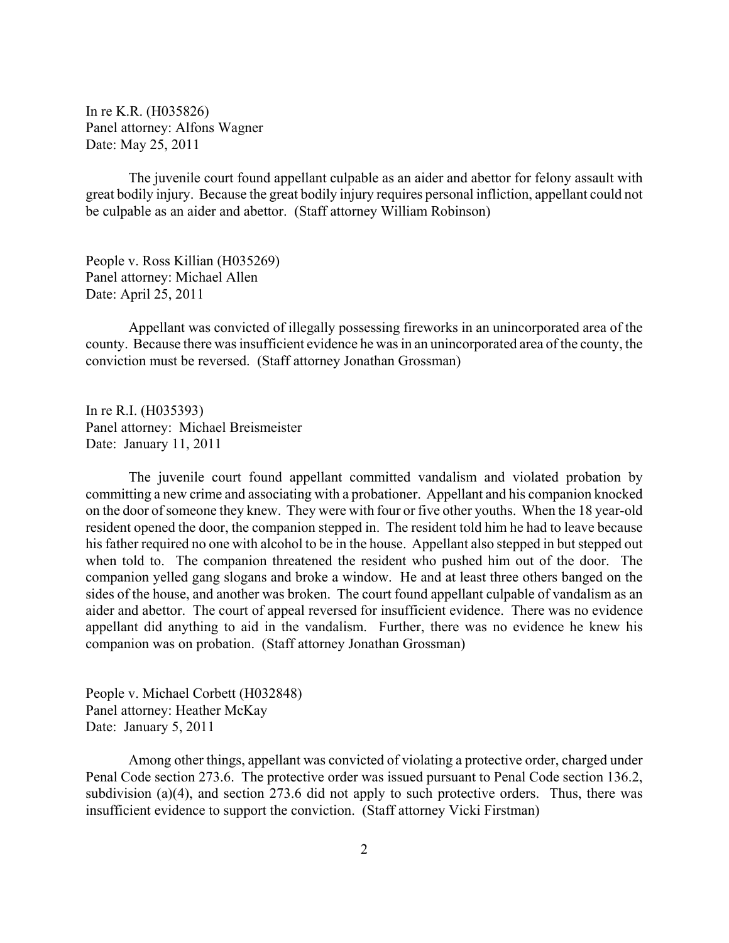In re K.R. (H035826) Panel attorney: Alfons Wagner Date: May 25, 2011

The juvenile court found appellant culpable as an aider and abettor for felony assault with great bodily injury. Because the great bodily injury requires personal infliction, appellant could not be culpable as an aider and abettor. (Staff attorney William Robinson)

People v. Ross Killian (H035269) Panel attorney: Michael Allen Date: April 25, 2011

Appellant was convicted of illegally possessing fireworks in an unincorporated area of the county. Because there was insufficient evidence he was in an unincorporated area of the county, the conviction must be reversed. (Staff attorney Jonathan Grossman)

In re R.I. (H035393) Panel attorney: Michael Breismeister Date: January 11, 2011

The juvenile court found appellant committed vandalism and violated probation by committing a new crime and associating with a probationer. Appellant and his companion knocked on the door of someone they knew. They were with four or five other youths. When the 18 year-old resident opened the door, the companion stepped in. The resident told him he had to leave because his father required no one with alcohol to be in the house. Appellant also stepped in but stepped out when told to. The companion threatened the resident who pushed him out of the door. The companion yelled gang slogans and broke a window. He and at least three others banged on the sides of the house, and another was broken. The court found appellant culpable of vandalism as an aider and abettor. The court of appeal reversed for insufficient evidence. There was no evidence appellant did anything to aid in the vandalism. Further, there was no evidence he knew his companion was on probation. (Staff attorney Jonathan Grossman)

People v. Michael Corbett (H032848) Panel attorney: Heather McKay Date: January 5, 2011

Among other things, appellant was convicted of violating a protective order, charged under Penal Code section 273.6. The protective order was issued pursuant to Penal Code section 136.2, subdivision (a)(4), and section 273.6 did not apply to such protective orders. Thus, there was insufficient evidence to support the conviction. (Staff attorney Vicki Firstman)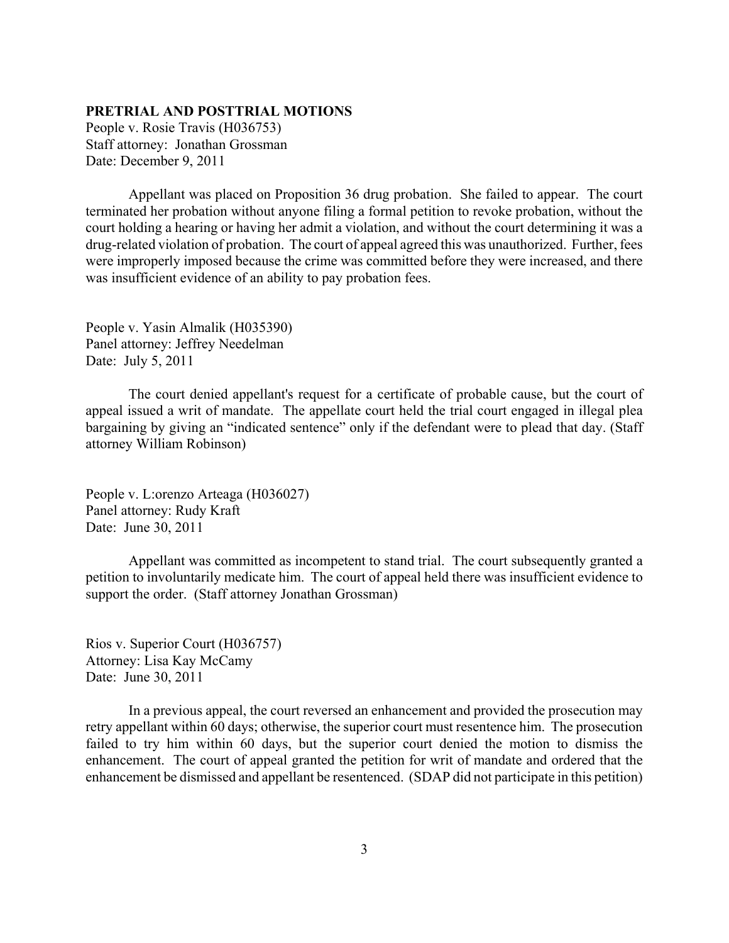# <span id="page-2-0"></span>**PRETRIAL AND POSTTRIAL MOTIONS**

People v. Rosie Travis (H036753) Staff attorney: Jonathan Grossman Date: December 9, 2011

Appellant was placed on Proposition 36 drug probation. She failed to appear. The court terminated her probation without anyone filing a formal petition to revoke probation, without the court holding a hearing or having her admit a violation, and without the court determining it was a drug-related violation of probation. The court of appeal agreed this was unauthorized. Further, fees were improperly imposed because the crime was committed before they were increased, and there was insufficient evidence of an ability to pay probation fees.

People v. Yasin Almalik (H035390) Panel attorney: Jeffrey Needelman Date: July 5, 2011

The court denied appellant's request for a certificate of probable cause, but the court of appeal issued a writ of mandate. The appellate court held the trial court engaged in illegal plea bargaining by giving an "indicated sentence" only if the defendant were to plead that day. (Staff attorney William Robinson)

People v. L:orenzo Arteaga (H036027) Panel attorney: Rudy Kraft Date: June 30, 2011

Appellant was committed as incompetent to stand trial. The court subsequently granted a petition to involuntarily medicate him. The court of appeal held there was insufficient evidence to support the order. (Staff attorney Jonathan Grossman)

Rios v. Superior Court (H036757) Attorney: Lisa Kay McCamy Date: June 30, 2011

In a previous appeal, the court reversed an enhancement and provided the prosecution may retry appellant within 60 days; otherwise, the superior court must resentence him. The prosecution failed to try him within 60 days, but the superior court denied the motion to dismiss the enhancement. The court of appeal granted the petition for writ of mandate and ordered that the enhancement be dismissed and appellant be resentenced. (SDAP did not participate in this petition)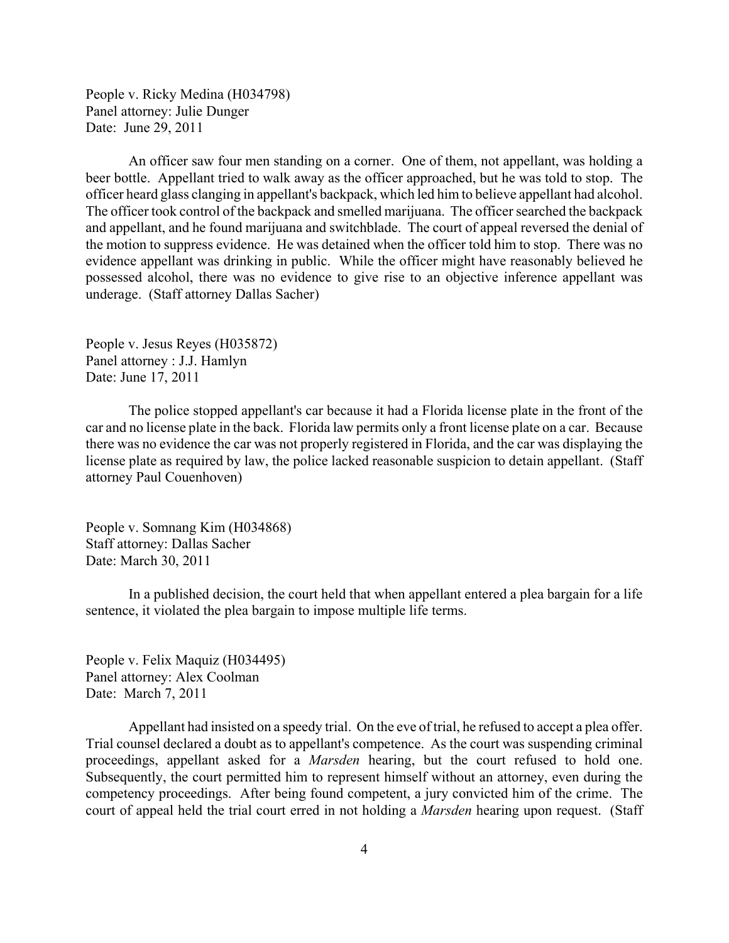People v. Ricky Medina (H034798) Panel attorney: Julie Dunger Date: June 29, 2011

An officer saw four men standing on a corner. One of them, not appellant, was holding a beer bottle. Appellant tried to walk away as the officer approached, but he was told to stop. The officer heard glass clanging in appellant's backpack, which led him to believe appellant had alcohol. The officer took control of the backpack and smelled marijuana. The officer searched the backpack and appellant, and he found marijuana and switchblade. The court of appeal reversed the denial of the motion to suppress evidence. He was detained when the officer told him to stop. There was no evidence appellant was drinking in public. While the officer might have reasonably believed he possessed alcohol, there was no evidence to give rise to an objective inference appellant was underage. (Staff attorney Dallas Sacher)

People v. Jesus Reyes (H035872) Panel attorney : J.J. Hamlyn Date: June 17, 2011

The police stopped appellant's car because it had a Florida license plate in the front of the car and no license plate in the back. Florida law permits only a front license plate on a car. Because there was no evidence the car was not properly registered in Florida, and the car was displaying the license plate as required by law, the police lacked reasonable suspicion to detain appellant. (Staff attorney Paul Couenhoven)

People v. Somnang Kim (H034868) Staff attorney: Dallas Sacher Date: March 30, 2011

In a published decision, the court held that when appellant entered a plea bargain for a life sentence, it violated the plea bargain to impose multiple life terms.

People v. Felix Maquiz (H034495) Panel attorney: Alex Coolman Date: March 7, 2011

Appellant had insisted on a speedy trial. On the eve of trial, he refused to accept a plea offer. Trial counsel declared a doubt as to appellant's competence. As the court was suspending criminal proceedings, appellant asked for a *Marsden* hearing, but the court refused to hold one. Subsequently, the court permitted him to represent himself without an attorney, even during the competency proceedings. After being found competent, a jury convicted him of the crime. The court of appeal held the trial court erred in not holding a *Marsden* hearing upon request. (Staff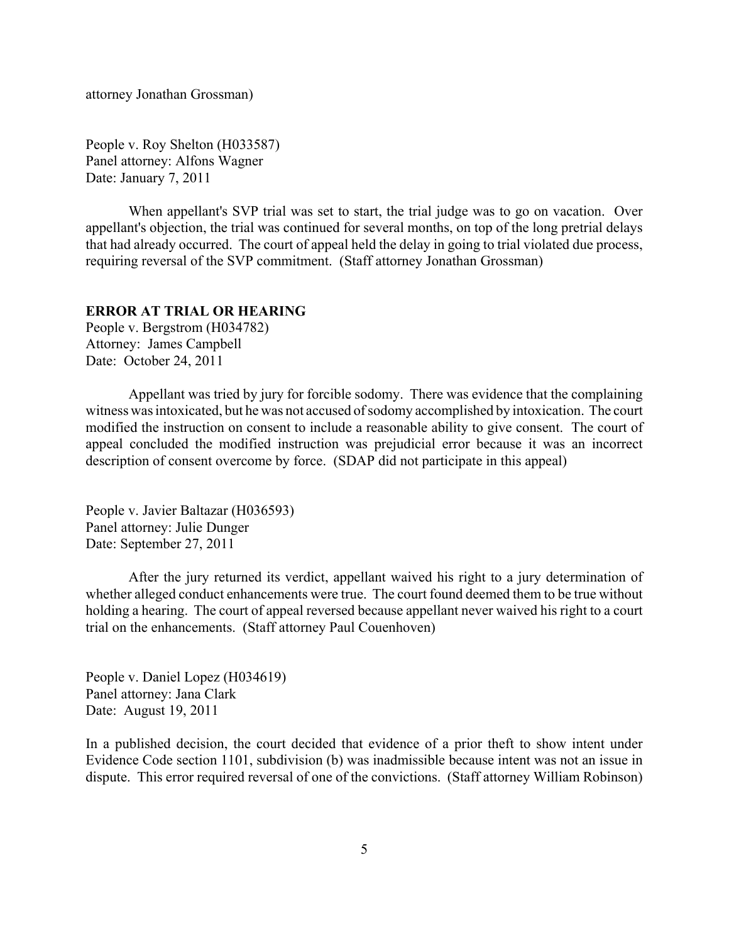<span id="page-4-0"></span>attorney Jonathan Grossman)

People v. Roy Shelton (H033587) Panel attorney: Alfons Wagner Date: January 7, 2011

When appellant's SVP trial was set to start, the trial judge was to go on vacation. Over appellant's objection, the trial was continued for several months, on top of the long pretrial delays that had already occurred. The court of appeal held the delay in going to trial violated due process, requiring reversal of the SVP commitment. (Staff attorney Jonathan Grossman)

### **ERROR AT TRIAL OR HEARING**

People v. Bergstrom (H034782) Attorney: James Campbell Date: October 24, 2011

Appellant was tried by jury for forcible sodomy. There was evidence that the complaining witness was intoxicated, but he was not accused of sodomy accomplished by intoxication. The court modified the instruction on consent to include a reasonable ability to give consent. The court of appeal concluded the modified instruction was prejudicial error because it was an incorrect description of consent overcome by force. (SDAP did not participate in this appeal)

People v. Javier Baltazar (H036593) Panel attorney: Julie Dunger Date: September 27, 2011

After the jury returned its verdict, appellant waived his right to a jury determination of whether alleged conduct enhancements were true. The court found deemed them to be true without holding a hearing. The court of appeal reversed because appellant never waived his right to a court trial on the enhancements. (Staff attorney Paul Couenhoven)

People v. Daniel Lopez (H034619) Panel attorney: Jana Clark Date: August 19, 2011

In a published decision, the court decided that evidence of a prior theft to show intent under Evidence Code section 1101, subdivision (b) was inadmissible because intent was not an issue in dispute. This error required reversal of one of the convictions. (Staff attorney William Robinson)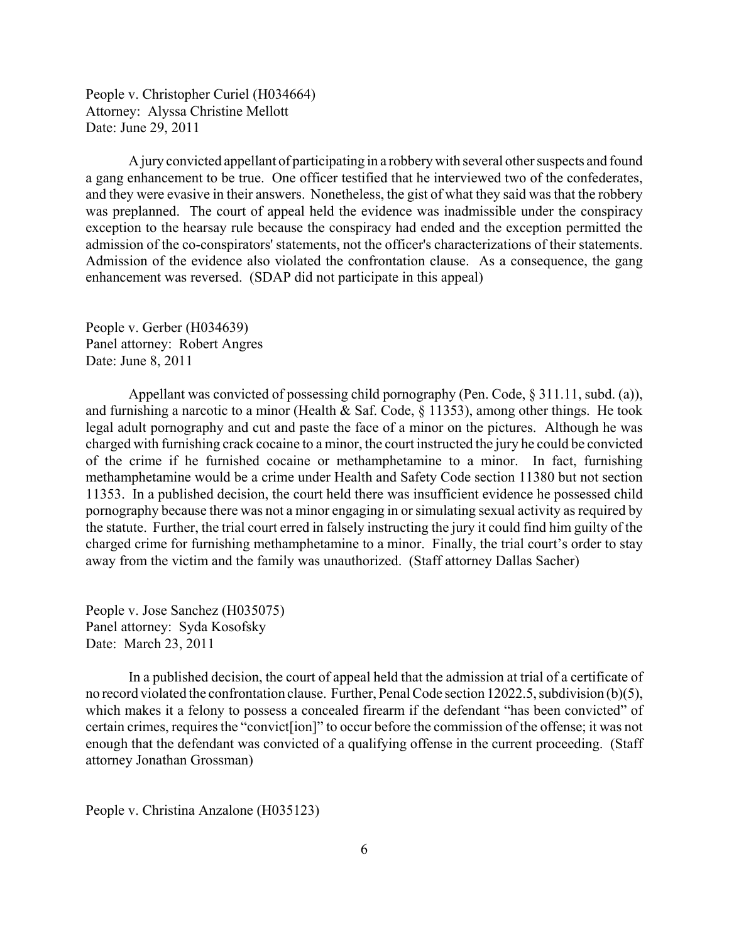People v. Christopher Curiel (H034664) Attorney: Alyssa Christine Mellott Date: June 29, 2011

A jury convicted appellant of participating in a robbery with several other suspects and found a gang enhancement to be true. One officer testified that he interviewed two of the confederates, and they were evasive in their answers. Nonetheless, the gist of what they said was that the robbery was preplanned. The court of appeal held the evidence was inadmissible under the conspiracy exception to the hearsay rule because the conspiracy had ended and the exception permitted the admission of the co-conspirators' statements, not the officer's characterizations of their statements. Admission of the evidence also violated the confrontation clause. As a consequence, the gang enhancement was reversed. (SDAP did not participate in this appeal)

People v. Gerber (H034639) Panel attorney: Robert Angres Date: June 8, 2011

Appellant was convicted of possessing child pornography (Pen. Code, § 311.11, subd. (a)), and furnishing a narcotic to a minor (Health & Saf. Code, § 11353), among other things. He took legal adult pornography and cut and paste the face of a minor on the pictures. Although he was charged with furnishing crack cocaine to a minor, the court instructed the jury he could be convicted of the crime if he furnished cocaine or methamphetamine to a minor. In fact, furnishing methamphetamine would be a crime under Health and Safety Code section 11380 but not section 11353. In a published decision, the court held there was insufficient evidence he possessed child pornography because there was not a minor engaging in or simulating sexual activity as required by the statute. Further, the trial court erred in falsely instructing the jury it could find him guilty of the charged crime for furnishing methamphetamine to a minor. Finally, the trial court's order to stay away from the victim and the family was unauthorized. (Staff attorney Dallas Sacher)

People v. Jose Sanchez (H035075) Panel attorney: Syda Kosofsky Date: March 23, 2011

In a published decision, the court of appeal held that the admission at trial of a certificate of no record violated the confrontation clause. Further, Penal Code section 12022.5, subdivision (b)(5), which makes it a felony to possess a concealed firearm if the defendant "has been convicted" of certain crimes, requires the "convict[ion]" to occur before the commission of the offense; it was not enough that the defendant was convicted of a qualifying offense in the current proceeding. (Staff attorney Jonathan Grossman)

People v. Christina Anzalone (H035123)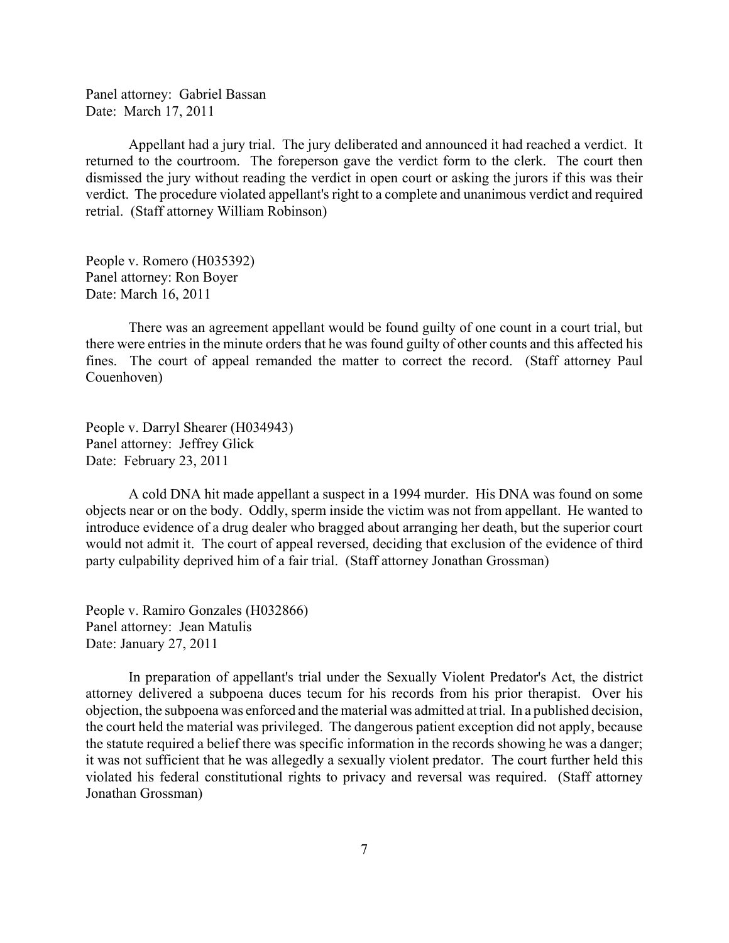Panel attorney: Gabriel Bassan Date: March 17, 2011

Appellant had a jury trial. The jury deliberated and announced it had reached a verdict. It returned to the courtroom. The foreperson gave the verdict form to the clerk. The court then dismissed the jury without reading the verdict in open court or asking the jurors if this was their verdict. The procedure violated appellant's right to a complete and unanimous verdict and required retrial. (Staff attorney William Robinson)

People v. Romero (H035392) Panel attorney: Ron Boyer Date: March 16, 2011

There was an agreement appellant would be found guilty of one count in a court trial, but there were entries in the minute orders that he was found guilty of other counts and this affected his fines. The court of appeal remanded the matter to correct the record. (Staff attorney Paul Couenhoven)

People v. Darryl Shearer (H034943) Panel attorney: Jeffrey Glick Date: February 23, 2011

A cold DNA hit made appellant a suspect in a 1994 murder. His DNA was found on some objects near or on the body. Oddly, sperm inside the victim was not from appellant. He wanted to introduce evidence of a drug dealer who bragged about arranging her death, but the superior court would not admit it. The court of appeal reversed, deciding that exclusion of the evidence of third party culpability deprived him of a fair trial. (Staff attorney Jonathan Grossman)

People v. Ramiro Gonzales (H032866) Panel attorney: Jean Matulis Date: January 27, 2011

In preparation of appellant's trial under the Sexually Violent Predator's Act, the district attorney delivered a subpoena duces tecum for his records from his prior therapist. Over his objection, the subpoena was enforced and the material was admitted at trial. In a published decision, the court held the material was privileged. The dangerous patient exception did not apply, because the statute required a belief there was specific information in the records showing he was a danger; it was not sufficient that he was allegedly a sexually violent predator. The court further held this violated his federal constitutional rights to privacy and reversal was required. (Staff attorney Jonathan Grossman)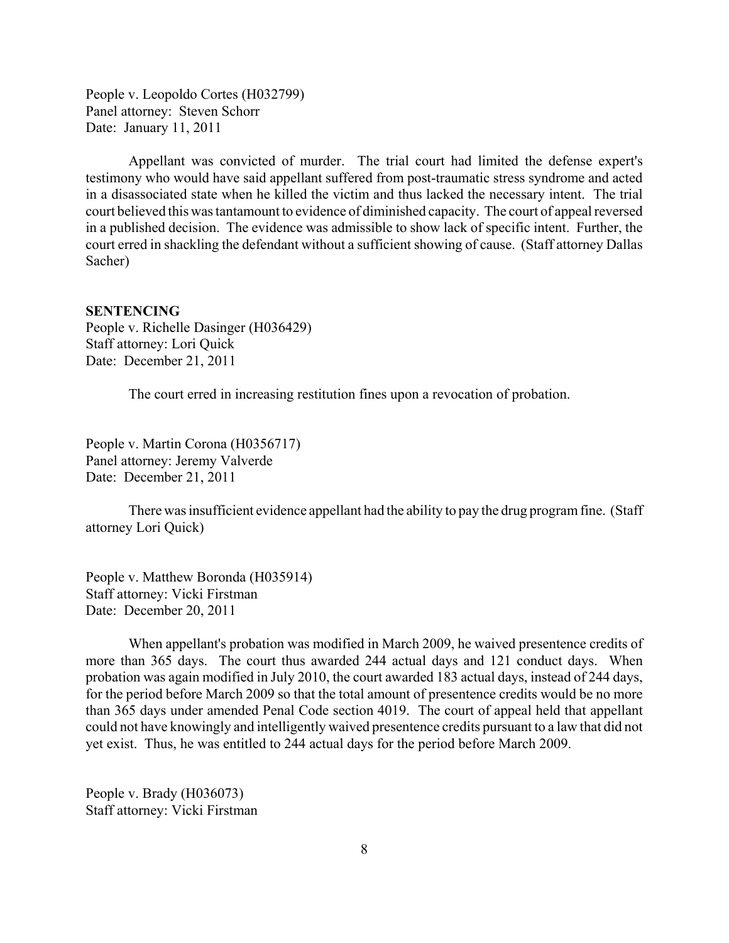<span id="page-7-0"></span>People v. Leopoldo Cortes (H032799) Panel attorney: Steven Schorr Date: January 11, 2011

Appellant was convicted of murder. The trial court had limited the defense expert's testimony who would have said appellant suffered from post-traumatic stress syndrome and acted in a disassociated state when he killed the victim and thus lacked the necessary intent. The trial court believed this was tantamount to evidence of diminished capacity. The court of appeal reversed in a published decision. The evidence was admissible to show lack of specific intent. Further, the court erred in shackling the defendant without a sufficient showing of cause. (Staff attorney Dallas Sacher)

### **SENTENCING**

People v. Richelle Dasinger (H036429) Staff attorney: Lori Quick Date: December 21, 2011

The court erred in increasing restitution fines upon a revocation of probation.

People v. Martin Corona (H0356717) Panel attorney: Jeremy Valverde Date: December 21, 2011

There was insufficient evidence appellant had the ability to pay the drug program fine. (Staff attorney Lori Quick)

People v. Matthew Boronda (H035914) Staff attorney: Vicki Firstman Date: December 20, 2011

When appellant's probation was modified in March 2009, he waived presentence credits of more than 365 days. The court thus awarded 244 actual days and 121 conduct days. When probation was again modified in July 2010, the court awarded 183 actual days, instead of 244 days, for the period before March 2009 so that the total amount of presentence credits would be no more than 365 days under amended Penal Code section 4019. The court of appeal held that appellant could not have knowingly and intelligently waived presentence credits pursuant to a law that did not yet exist. Thus, he was entitled to 244 actual days for the period before March 2009.

People v. Brady (H036073) Staff attorney: Vicki Firstman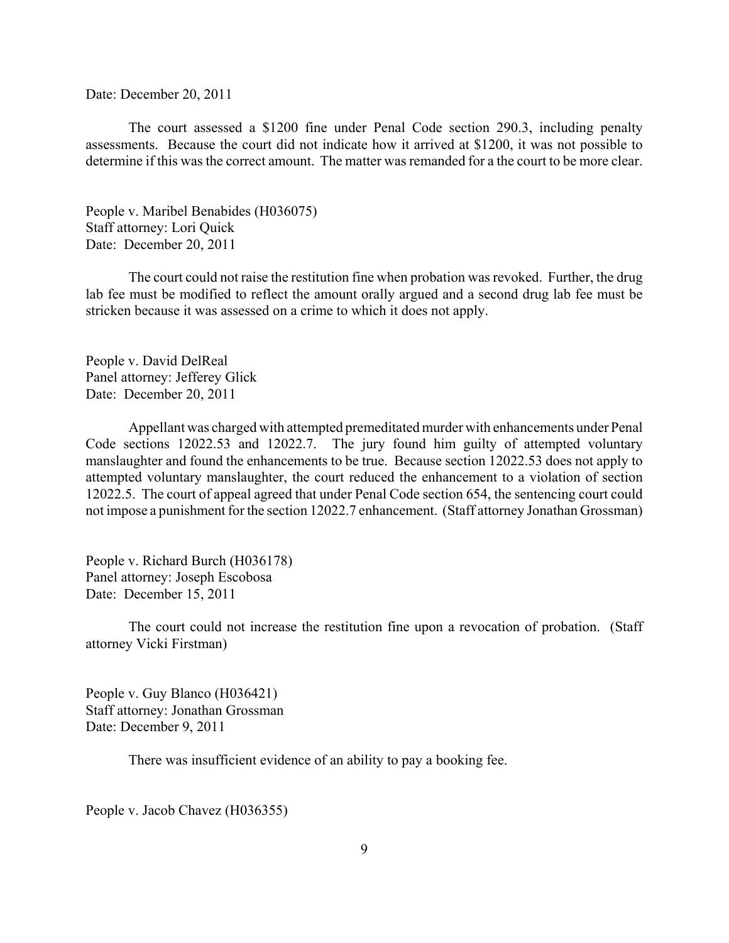Date: December 20, 2011

The court assessed a \$1200 fine under Penal Code section 290.3, including penalty assessments. Because the court did not indicate how it arrived at \$1200, it was not possible to determine if this was the correct amount. The matter was remanded for a the court to be more clear.

People v. Maribel Benabides (H036075) Staff attorney: Lori Quick Date: December 20, 2011

The court could not raise the restitution fine when probation was revoked. Further, the drug lab fee must be modified to reflect the amount orally argued and a second drug lab fee must be stricken because it was assessed on a crime to which it does not apply.

People v. David DelReal Panel attorney: Jefferey Glick Date: December 20, 2011

Appellant was charged with attempted premeditated murder with enhancements under Penal Code sections 12022.53 and 12022.7. The jury found him guilty of attempted voluntary manslaughter and found the enhancements to be true. Because section 12022.53 does not apply to attempted voluntary manslaughter, the court reduced the enhancement to a violation of section 12022.5. The court of appeal agreed that under Penal Code section 654, the sentencing court could not impose a punishment for the section 12022.7 enhancement. (Staff attorney Jonathan Grossman)

People v. Richard Burch (H036178) Panel attorney: Joseph Escobosa Date: December 15, 2011

The court could not increase the restitution fine upon a revocation of probation. (Staff attorney Vicki Firstman)

People v. Guy Blanco (H036421) Staff attorney: Jonathan Grossman Date: December 9, 2011

There was insufficient evidence of an ability to pay a booking fee.

People v. Jacob Chavez (H036355)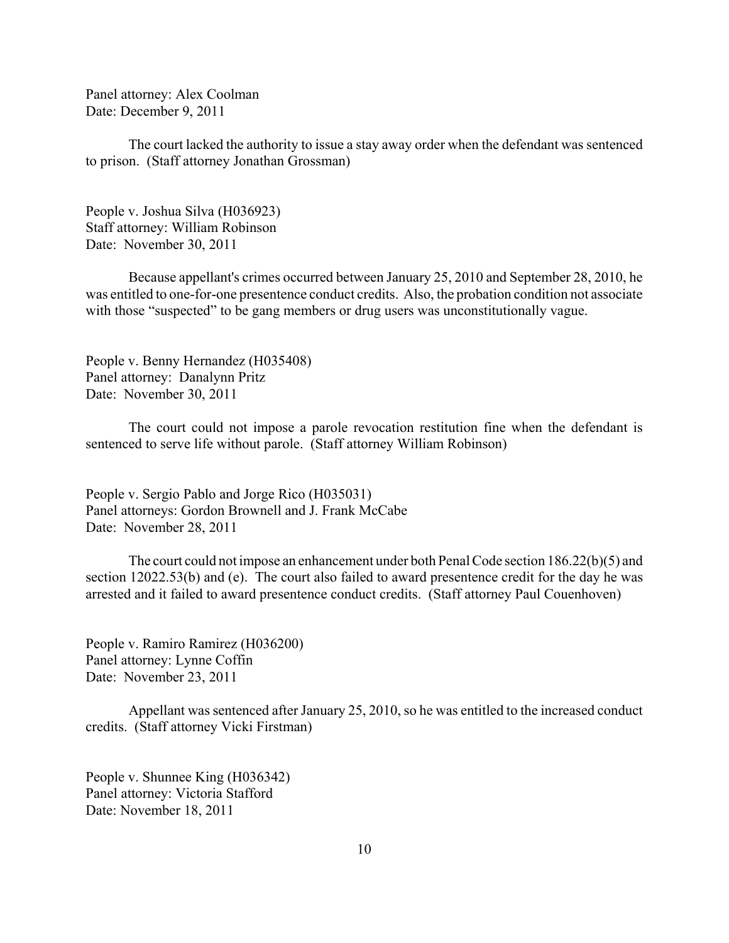Panel attorney: Alex Coolman Date: December 9, 2011

The court lacked the authority to issue a stay away order when the defendant was sentenced to prison. (Staff attorney Jonathan Grossman)

People v. Joshua Silva (H036923) Staff attorney: William Robinson Date: November 30, 2011

Because appellant's crimes occurred between January 25, 2010 and September 28, 2010, he was entitled to one-for-one presentence conduct credits. Also, the probation condition not associate with those "suspected" to be gang members or drug users was unconstitutionally vague.

People v. Benny Hernandez (H035408) Panel attorney: Danalynn Pritz Date: November 30, 2011

The court could not impose a parole revocation restitution fine when the defendant is sentenced to serve life without parole. (Staff attorney William Robinson)

People v. Sergio Pablo and Jorge Rico (H035031) Panel attorneys: Gordon Brownell and J. Frank McCabe Date: November 28, 2011

The court could not impose an enhancement under both Penal Code section 186.22(b)(5) and section 12022.53(b) and (e). The court also failed to award presentence credit for the day he was arrested and it failed to award presentence conduct credits. (Staff attorney Paul Couenhoven)

People v. Ramiro Ramirez (H036200) Panel attorney: Lynne Coffin Date: November 23, 2011

Appellant was sentenced after January 25, 2010, so he was entitled to the increased conduct credits. (Staff attorney Vicki Firstman)

People v. Shunnee King (H036342) Panel attorney: Victoria Stafford Date: November 18, 2011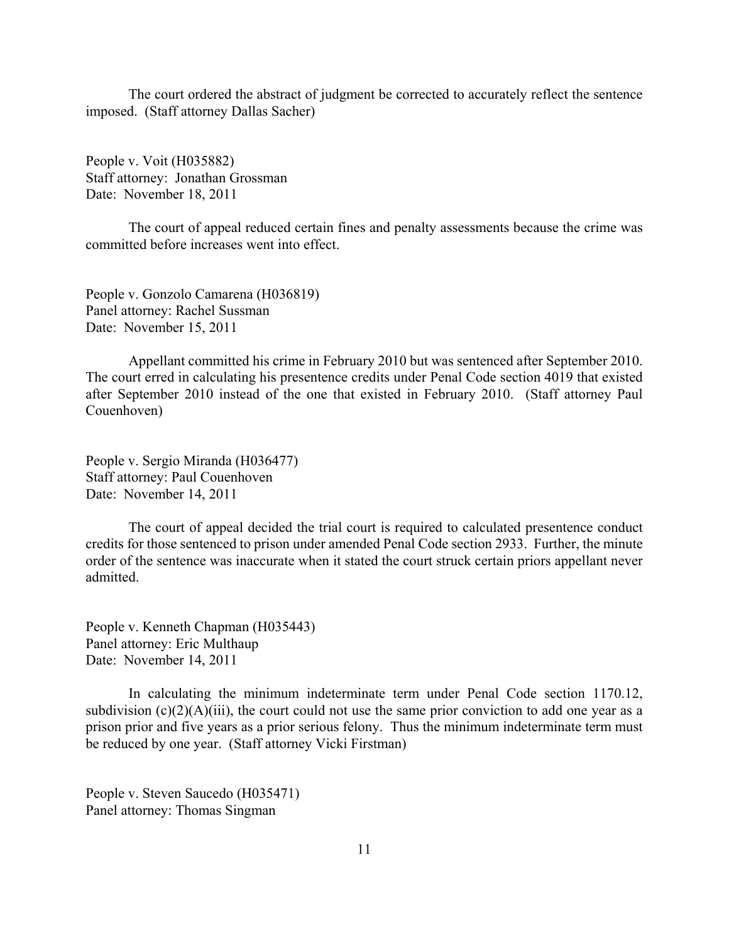The court ordered the abstract of judgment be corrected to accurately reflect the sentence imposed. (Staff attorney Dallas Sacher)

People v. Voit (H035882) Staff attorney: Jonathan Grossman Date: November 18, 2011

The court of appeal reduced certain fines and penalty assessments because the crime was committed before increases went into effect.

People v. Gonzolo Camarena (H036819) Panel attorney: Rachel Sussman Date: November 15, 2011

Appellant committed his crime in February 2010 but was sentenced after September 2010. The court erred in calculating his presentence credits under Penal Code section 4019 that existed after September 2010 instead of the one that existed in February 2010. (Staff attorney Paul Couenhoven)

People v. Sergio Miranda (H036477) Staff attorney: Paul Couenhoven Date: November 14, 2011

The court of appeal decided the trial court is required to calculated presentence conduct credits for those sentenced to prison under amended Penal Code section 2933. Further, the minute order of the sentence was inaccurate when it stated the court struck certain priors appellant never admitted.

People v. Kenneth Chapman (H035443) Panel attorney: Eric Multhaup Date: November 14, 2011

In calculating the minimum indeterminate term under Penal Code section 1170.12, subdivision  $(c)(2)(A)(iii)$ , the court could not use the same prior conviction to add one year as a prison prior and five years as a prior serious felony. Thus the minimum indeterminate term must be reduced by one year. (Staff attorney Vicki Firstman)

People v. Steven Saucedo (H035471) Panel attorney: Thomas Singman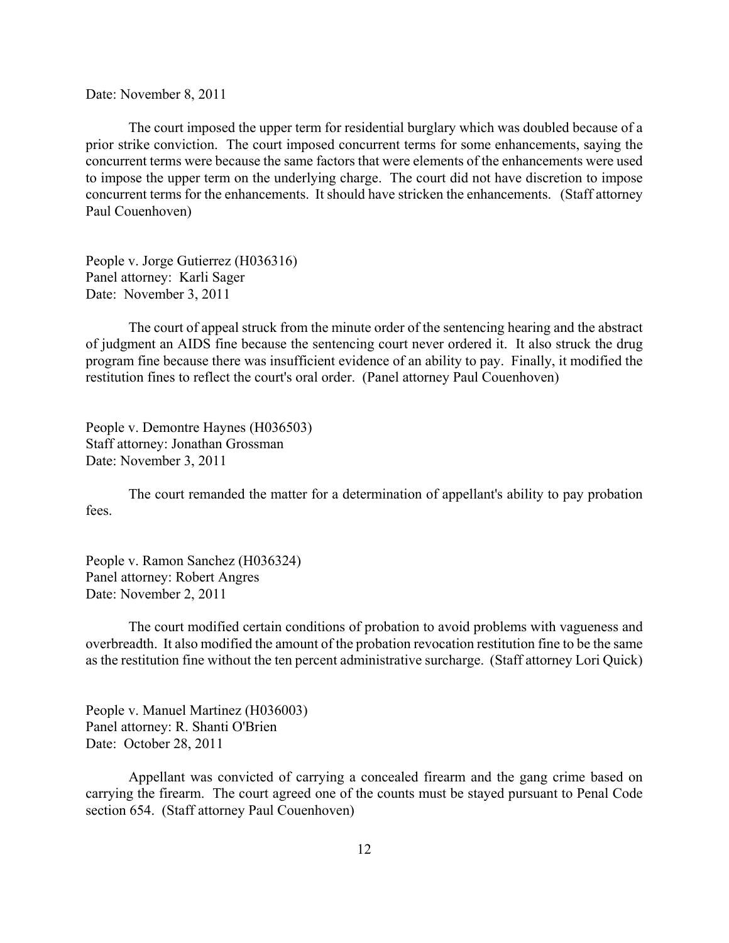Date: November 8, 2011

The court imposed the upper term for residential burglary which was doubled because of a prior strike conviction. The court imposed concurrent terms for some enhancements, saying the concurrent terms were because the same factors that were elements of the enhancements were used to impose the upper term on the underlying charge. The court did not have discretion to impose concurrent terms for the enhancements. It should have stricken the enhancements. (Staff attorney Paul Couenhoven)

People v. Jorge Gutierrez (H036316) Panel attorney: Karli Sager Date: November 3, 2011

The court of appeal struck from the minute order of the sentencing hearing and the abstract of judgment an AIDS fine because the sentencing court never ordered it. It also struck the drug program fine because there was insufficient evidence of an ability to pay. Finally, it modified the restitution fines to reflect the court's oral order. (Panel attorney Paul Couenhoven)

People v. Demontre Haynes (H036503) Staff attorney: Jonathan Grossman Date: November 3, 2011

The court remanded the matter for a determination of appellant's ability to pay probation fees.

People v. Ramon Sanchez (H036324) Panel attorney: Robert Angres Date: November 2, 2011

The court modified certain conditions of probation to avoid problems with vagueness and overbreadth. It also modified the amount of the probation revocation restitution fine to be the same as the restitution fine without the ten percent administrative surcharge. (Staff attorney Lori Quick)

People v. Manuel Martinez (H036003) Panel attorney: R. Shanti O'Brien Date: October 28, 2011

Appellant was convicted of carrying a concealed firearm and the gang crime based on carrying the firearm. The court agreed one of the counts must be stayed pursuant to Penal Code section 654. (Staff attorney Paul Couenhoven)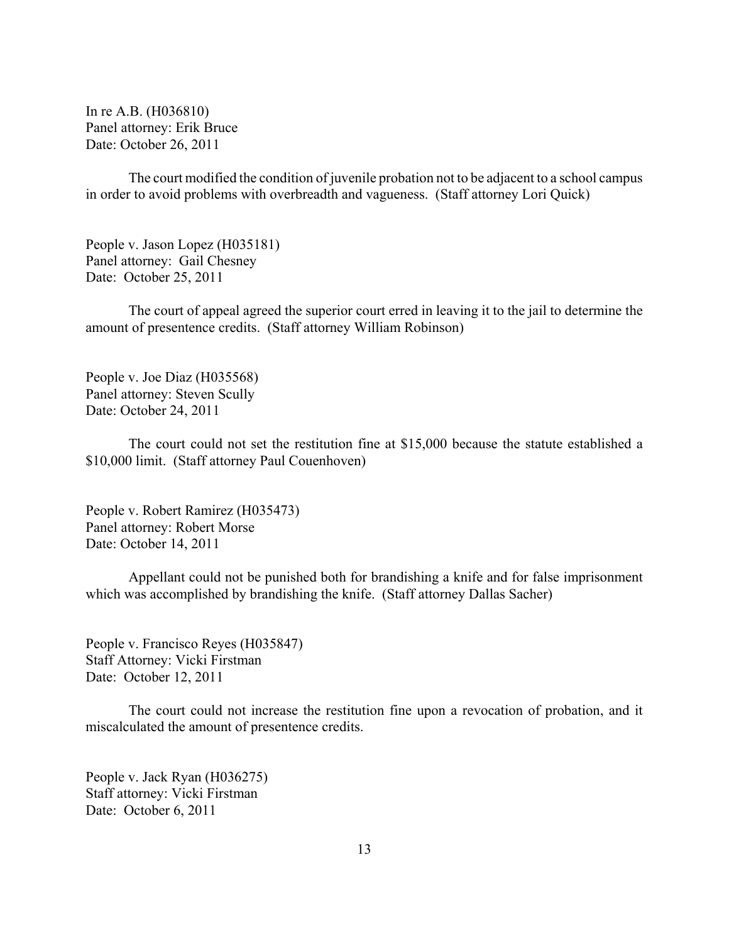In re A.B. (H036810) Panel attorney: Erik Bruce Date: October 26, 2011

The court modified the condition of juvenile probation not to be adjacent to a school campus in order to avoid problems with overbreadth and vagueness. (Staff attorney Lori Quick)

People v. Jason Lopez (H035181) Panel attorney: Gail Chesney Date: October 25, 2011

 The court of appeal agreed the superior court erred in leaving it to the jail to determine the amount of presentence credits. (Staff attorney William Robinson)

People v. Joe Diaz (H035568) Panel attorney: Steven Scully Date: October 24, 2011

The court could not set the restitution fine at \$15,000 because the statute established a \$10,000 limit. (Staff attorney Paul Couenhoven)

People v. Robert Ramirez (H035473) Panel attorney: Robert Morse Date: October 14, 2011

Appellant could not be punished both for brandishing a knife and for false imprisonment which was accomplished by brandishing the knife. (Staff attorney Dallas Sacher)

People v. Francisco Reyes (H035847) Staff Attorney: Vicki Firstman Date: October 12, 2011

The court could not increase the restitution fine upon a revocation of probation, and it miscalculated the amount of presentence credits.

People v. Jack Ryan (H036275) Staff attorney: Vicki Firstman Date: October 6, 2011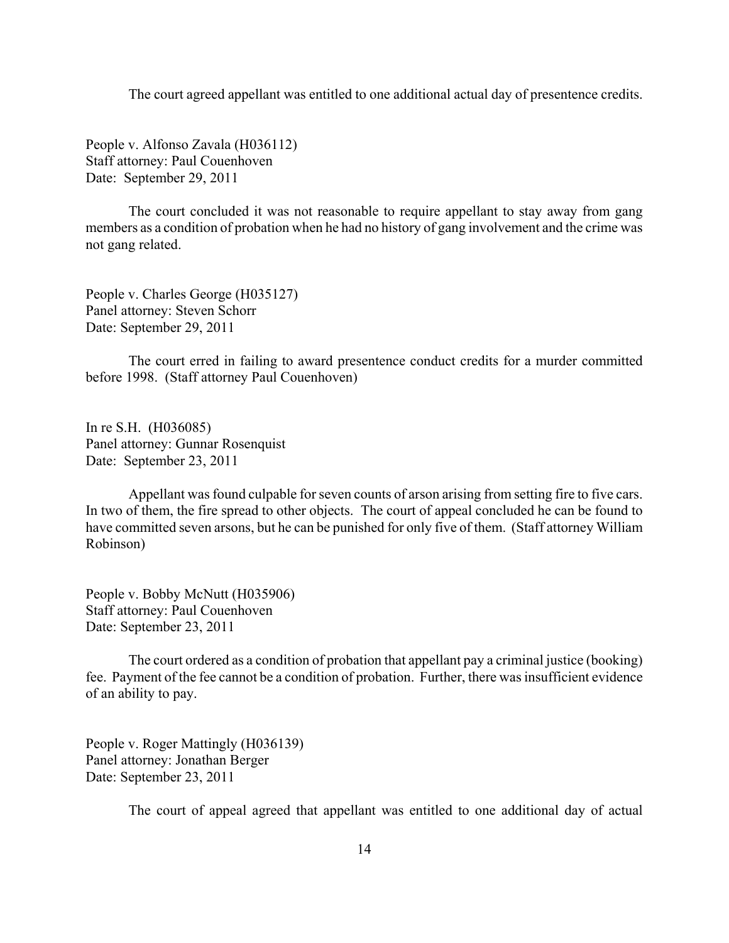The court agreed appellant was entitled to one additional actual day of presentence credits.

People v. Alfonso Zavala (H036112) Staff attorney: Paul Couenhoven Date: September 29, 2011

The court concluded it was not reasonable to require appellant to stay away from gang members as a condition of probation when he had no history of gang involvement and the crime was not gang related.

People v. Charles George (H035127) Panel attorney: Steven Schorr Date: September 29, 2011

The court erred in failing to award presentence conduct credits for a murder committed before 1998. (Staff attorney Paul Couenhoven)

In re S.H. (H036085) Panel attorney: Gunnar Rosenquist Date: September 23, 2011

Appellant was found culpable for seven counts of arson arising from setting fire to five cars. In two of them, the fire spread to other objects. The court of appeal concluded he can be found to have committed seven arsons, but he can be punished for only five of them. (Staff attorney William Robinson)

People v. Bobby McNutt (H035906) Staff attorney: Paul Couenhoven Date: September 23, 2011

The court ordered as a condition of probation that appellant pay a criminal justice (booking) fee. Payment of the fee cannot be a condition of probation. Further, there was insufficient evidence of an ability to pay.

People v. Roger Mattingly (H036139) Panel attorney: Jonathan Berger Date: September 23, 2011

The court of appeal agreed that appellant was entitled to one additional day of actual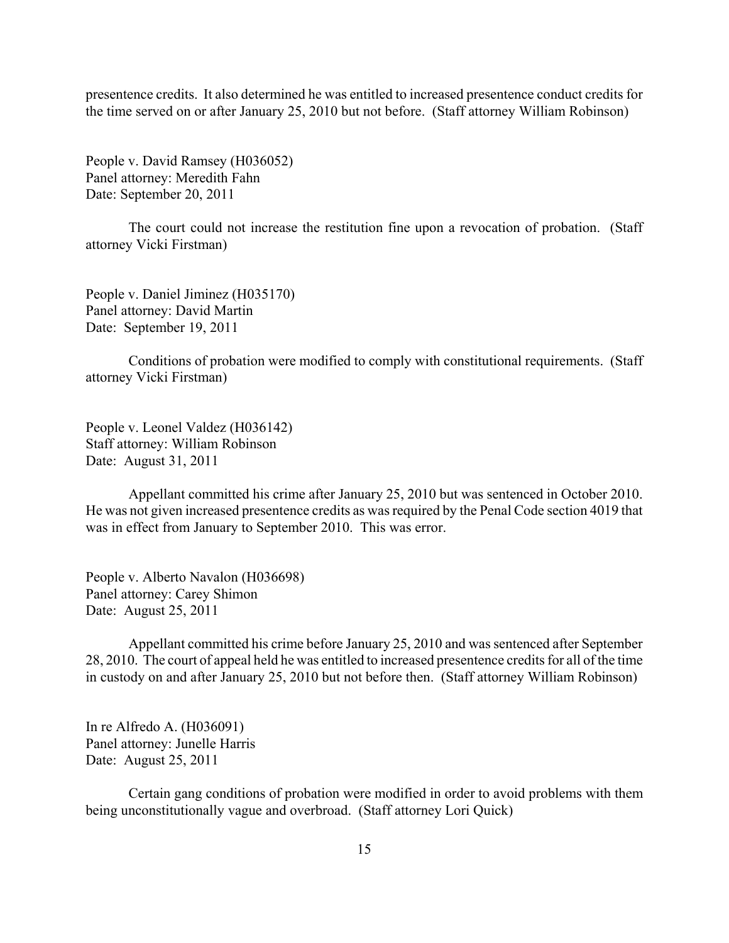presentence credits. It also determined he was entitled to increased presentence conduct credits for the time served on or after January 25, 2010 but not before. (Staff attorney William Robinson)

People v. David Ramsey (H036052) Panel attorney: Meredith Fahn Date: September 20, 2011

The court could not increase the restitution fine upon a revocation of probation. (Staff attorney Vicki Firstman)

People v. Daniel Jiminez (H035170) Panel attorney: David Martin Date: September 19, 2011

Conditions of probation were modified to comply with constitutional requirements. (Staff attorney Vicki Firstman)

People v. Leonel Valdez (H036142) Staff attorney: William Robinson Date: August 31, 2011

Appellant committed his crime after January 25, 2010 but was sentenced in October 2010. He was not given increased presentence credits as was required by the Penal Code section 4019 that was in effect from January to September 2010. This was error.

People v. Alberto Navalon (H036698) Panel attorney: Carey Shimon Date: August 25, 2011

Appellant committed his crime before January 25, 2010 and was sentenced after September 28, 2010. The court of appeal held he was entitled to increased presentence credits for all of the time in custody on and after January 25, 2010 but not before then. (Staff attorney William Robinson)

In re Alfredo A. (H036091) Panel attorney: Junelle Harris Date: August 25, 2011

Certain gang conditions of probation were modified in order to avoid problems with them being unconstitutionally vague and overbroad. (Staff attorney Lori Quick)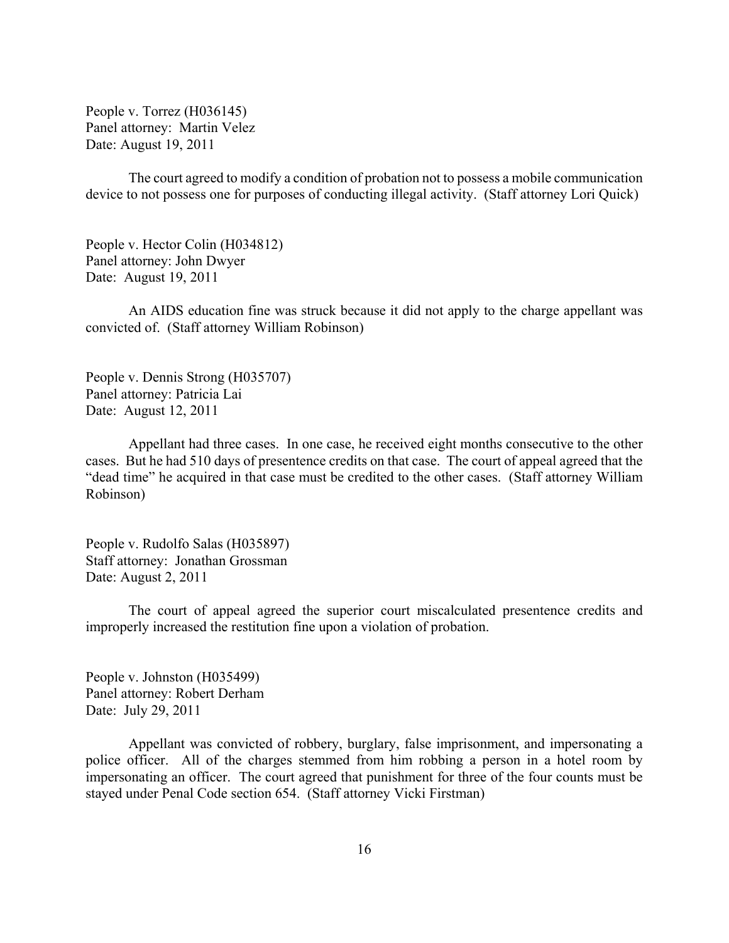People v. Torrez (H036145) Panel attorney: Martin Velez Date: August 19, 2011

The court agreed to modify a condition of probation not to possess a mobile communication device to not possess one for purposes of conducting illegal activity. (Staff attorney Lori Quick)

People v. Hector Colin (H034812) Panel attorney: John Dwyer Date: August 19, 2011

An AIDS education fine was struck because it did not apply to the charge appellant was convicted of. (Staff attorney William Robinson)

People v. Dennis Strong (H035707) Panel attorney: Patricia Lai Date: August 12, 2011

Appellant had three cases. In one case, he received eight months consecutive to the other cases. But he had 510 days of presentence credits on that case. The court of appeal agreed that the "dead time" he acquired in that case must be credited to the other cases. (Staff attorney William Robinson)

People v. Rudolfo Salas (H035897) Staff attorney: Jonathan Grossman Date: August 2, 2011

The court of appeal agreed the superior court miscalculated presentence credits and improperly increased the restitution fine upon a violation of probation.

People v. Johnston (H035499) Panel attorney: Robert Derham Date: July 29, 2011

Appellant was convicted of robbery, burglary, false imprisonment, and impersonating a police officer. All of the charges stemmed from him robbing a person in a hotel room by impersonating an officer. The court agreed that punishment for three of the four counts must be stayed under Penal Code section 654. (Staff attorney Vicki Firstman)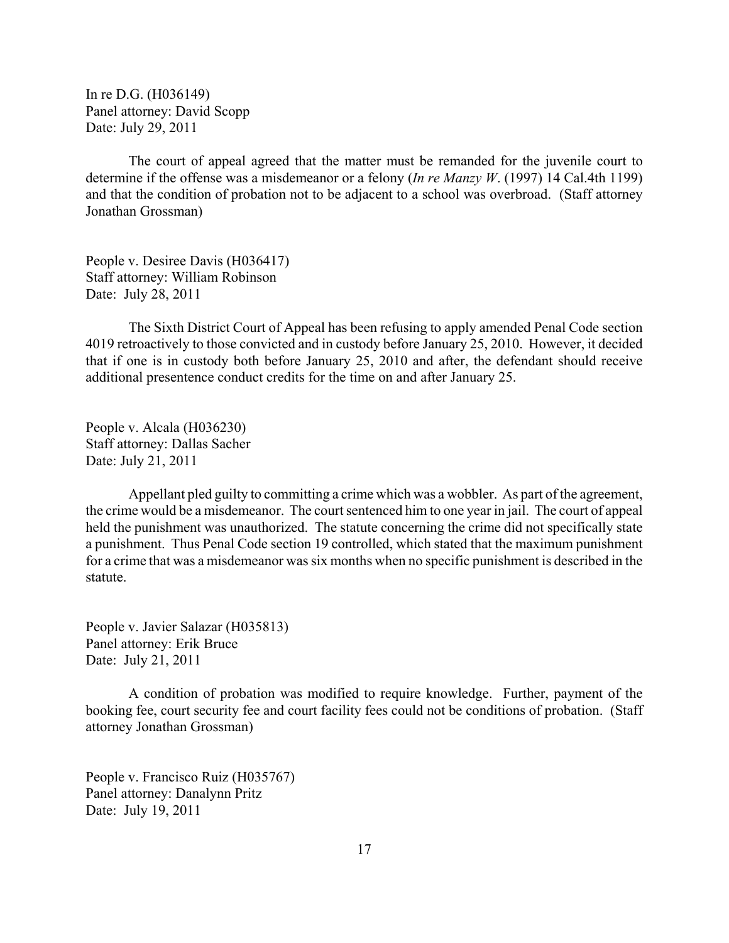In re D.G. (H036149) Panel attorney: David Scopp Date: July 29, 2011

The court of appeal agreed that the matter must be remanded for the juvenile court to determine if the offense was a misdemeanor or a felony (*In re Manzy W*. (1997) 14 Cal.4th 1199) and that the condition of probation not to be adjacent to a school was overbroad. (Staff attorney Jonathan Grossman)

People v. Desiree Davis (H036417) Staff attorney: William Robinson Date: July 28, 2011

The Sixth District Court of Appeal has been refusing to apply amended Penal Code section 4019 retroactively to those convicted and in custody before January 25, 2010. However, it decided that if one is in custody both before January 25, 2010 and after, the defendant should receive additional presentence conduct credits for the time on and after January 25.

People v. Alcala (H036230) Staff attorney: Dallas Sacher Date: July 21, 2011

Appellant pled guilty to committing a crime which was a wobbler. As part of the agreement, the crime would be a misdemeanor. The court sentenced him to one year in jail. The court of appeal held the punishment was unauthorized. The statute concerning the crime did not specifically state a punishment. Thus Penal Code section 19 controlled, which stated that the maximum punishment for a crime that was a misdemeanor was six months when no specific punishment is described in the statute.

People v. Javier Salazar (H035813) Panel attorney: Erik Bruce Date: July 21, 2011

A condition of probation was modified to require knowledge. Further, payment of the booking fee, court security fee and court facility fees could not be conditions of probation. (Staff attorney Jonathan Grossman)

People v. Francisco Ruiz (H035767) Panel attorney: Danalynn Pritz Date: July 19, 2011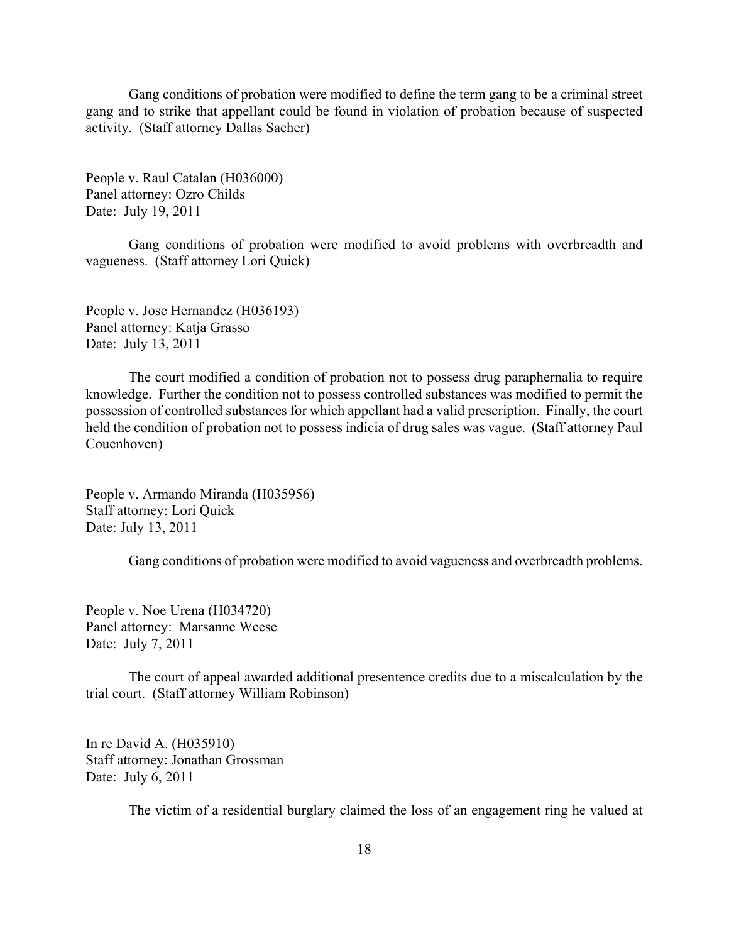Gang conditions of probation were modified to define the term gang to be a criminal street gang and to strike that appellant could be found in violation of probation because of suspected activity. (Staff attorney Dallas Sacher)

People v. Raul Catalan (H036000) Panel attorney: Ozro Childs Date: July 19, 2011

Gang conditions of probation were modified to avoid problems with overbreadth and vagueness. (Staff attorney Lori Quick)

People v. Jose Hernandez (H036193) Panel attorney: Katja Grasso Date: July 13, 2011

The court modified a condition of probation not to possess drug paraphernalia to require knowledge. Further the condition not to possess controlled substances was modified to permit the possession of controlled substances for which appellant had a valid prescription. Finally, the court held the condition of probation not to possess indicia of drug sales was vague. (Staff attorney Paul Couenhoven)

People v. Armando Miranda (H035956) Staff attorney: Lori Quick Date: July 13, 2011

Gang conditions of probation were modified to avoid vagueness and overbreadth problems.

People v. Noe Urena (H034720) Panel attorney: Marsanne Weese Date: July 7, 2011

The court of appeal awarded additional presentence credits due to a miscalculation by the trial court. (Staff attorney William Robinson)

In re David A. (H035910) Staff attorney: Jonathan Grossman Date: July 6, 2011

The victim of a residential burglary claimed the loss of an engagement ring he valued at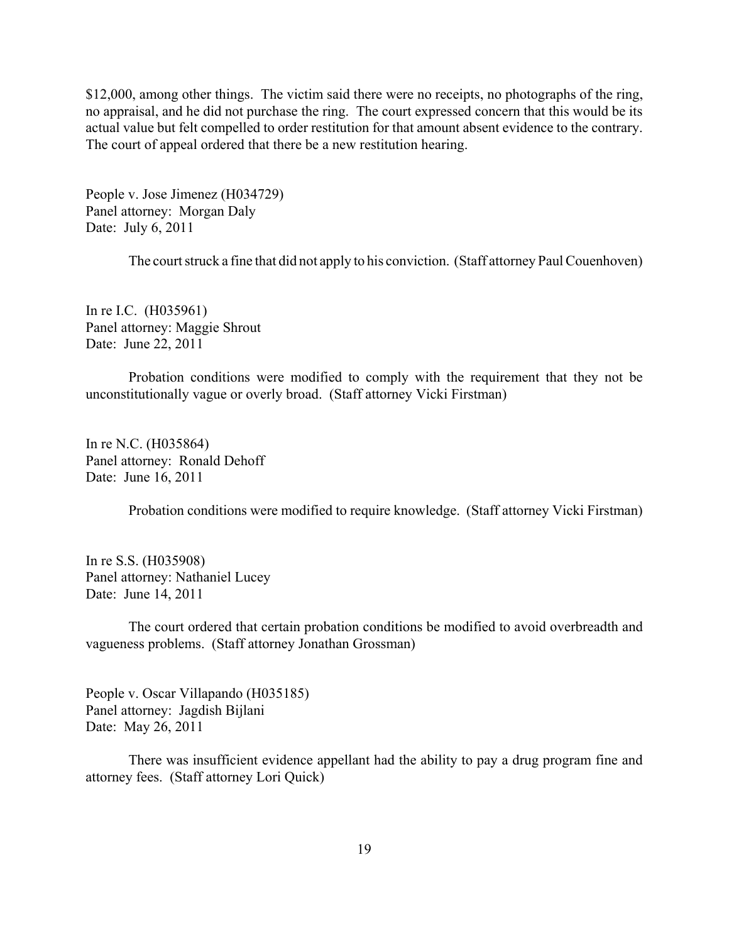\$12,000, among other things. The victim said there were no receipts, no photographs of the ring, no appraisal, and he did not purchase the ring. The court expressed concern that this would be its actual value but felt compelled to order restitution for that amount absent evidence to the contrary. The court of appeal ordered that there be a new restitution hearing.

People v. Jose Jimenez (H034729) Panel attorney: Morgan Daly Date: July 6, 2011

The court struck a fine that did not apply to his conviction. (Staff attorney Paul Couenhoven)

In re I.C. (H035961) Panel attorney: Maggie Shrout Date: June 22, 2011

Probation conditions were modified to comply with the requirement that they not be unconstitutionally vague or overly broad. (Staff attorney Vicki Firstman)

In re N.C. (H035864) Panel attorney: Ronald Dehoff Date: June 16, 2011

Probation conditions were modified to require knowledge. (Staff attorney Vicki Firstman)

In re S.S. (H035908) Panel attorney: Nathaniel Lucey Date: June 14, 2011

The court ordered that certain probation conditions be modified to avoid overbreadth and vagueness problems. (Staff attorney Jonathan Grossman)

People v. Oscar Villapando (H035185) Panel attorney: Jagdish Bijlani Date: May 26, 2011

There was insufficient evidence appellant had the ability to pay a drug program fine and attorney fees. (Staff attorney Lori Quick)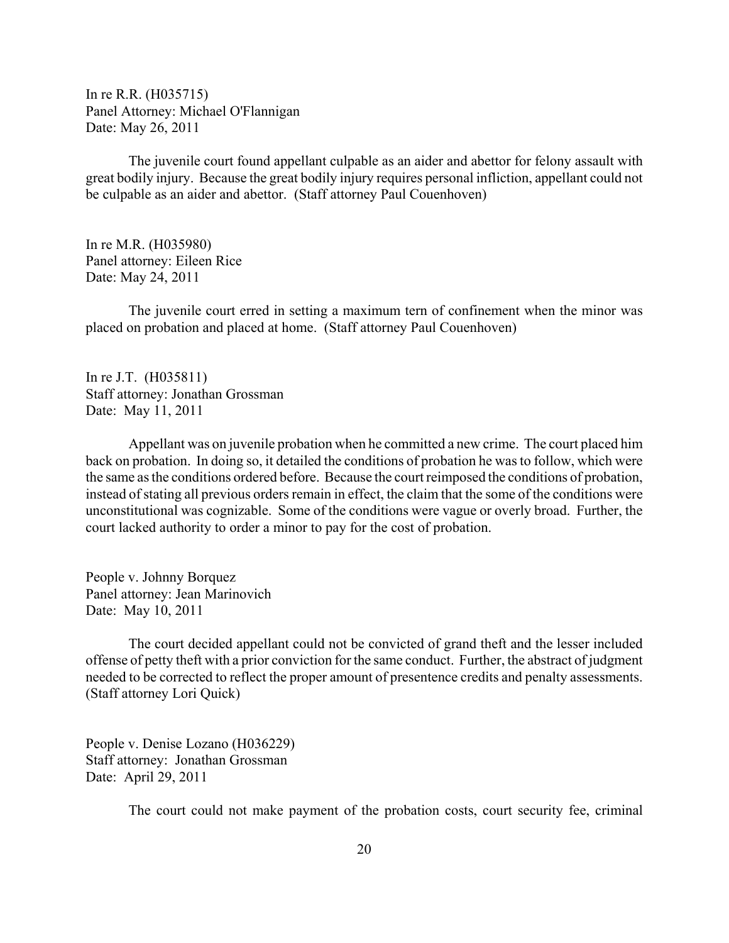In re R.R. (H035715) Panel Attorney: Michael O'Flannigan Date: May 26, 2011

The juvenile court found appellant culpable as an aider and abettor for felony assault with great bodily injury. Because the great bodily injury requires personal infliction, appellant could not be culpable as an aider and abettor. (Staff attorney Paul Couenhoven)

In re M.R. (H035980) Panel attorney: Eileen Rice Date: May 24, 2011

The juvenile court erred in setting a maximum tern of confinement when the minor was placed on probation and placed at home. (Staff attorney Paul Couenhoven)

In re J.T. (H035811) Staff attorney: Jonathan Grossman Date: May 11, 2011

Appellant was on juvenile probation when he committed a new crime. The court placed him back on probation. In doing so, it detailed the conditions of probation he was to follow, which were the same as the conditions ordered before. Because the court reimposed the conditions of probation, instead of stating all previous orders remain in effect, the claim that the some of the conditions were unconstitutional was cognizable. Some of the conditions were vague or overly broad. Further, the court lacked authority to order a minor to pay for the cost of probation.

People v. Johnny Borquez Panel attorney: Jean Marinovich Date: May 10, 2011

The court decided appellant could not be convicted of grand theft and the lesser included offense of petty theft with a prior conviction for the same conduct. Further, the abstract of judgment needed to be corrected to reflect the proper amount of presentence credits and penalty assessments. (Staff attorney Lori Quick)

People v. Denise Lozano (H036229) Staff attorney: Jonathan Grossman Date: April 29, 2011

The court could not make payment of the probation costs, court security fee, criminal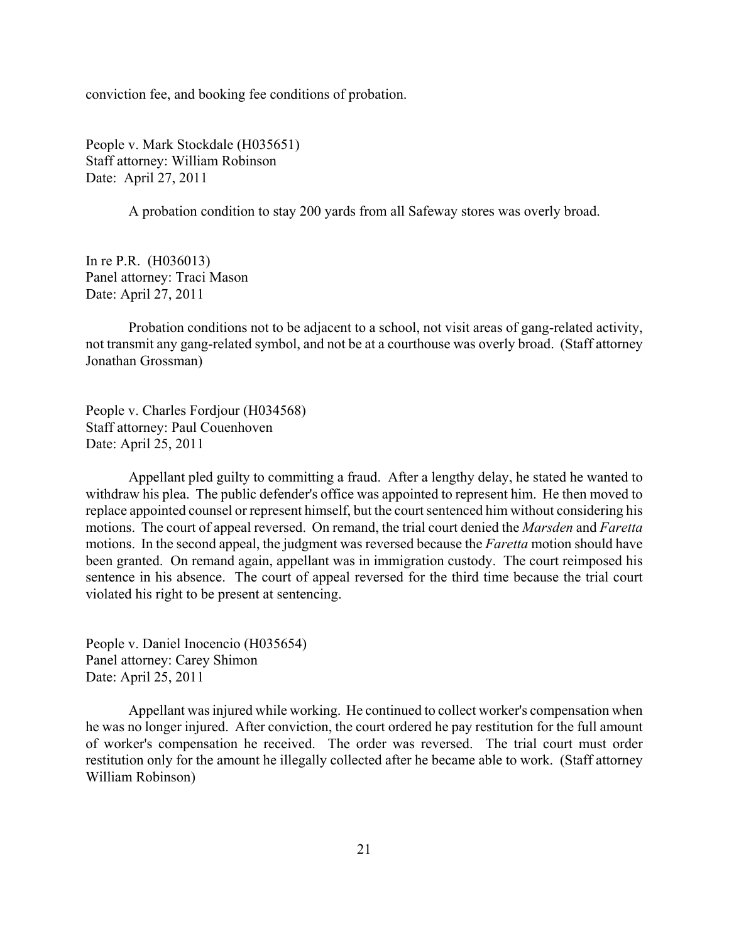conviction fee, and booking fee conditions of probation.

People v. Mark Stockdale (H035651) Staff attorney: William Robinson Date: April 27, 2011

A probation condition to stay 200 yards from all Safeway stores was overly broad.

In re P.R. (H036013) Panel attorney: Traci Mason Date: April 27, 2011

Probation conditions not to be adjacent to a school, not visit areas of gang-related activity, not transmit any gang-related symbol, and not be at a courthouse was overly broad. (Staff attorney Jonathan Grossman)

People v. Charles Fordjour (H034568) Staff attorney: Paul Couenhoven Date: April 25, 2011

Appellant pled guilty to committing a fraud. After a lengthy delay, he stated he wanted to withdraw his plea. The public defender's office was appointed to represent him. He then moved to replace appointed counsel or represent himself, but the court sentenced him without considering his motions. The court of appeal reversed. On remand, the trial court denied the *Marsden* and *Faretta* motions. In the second appeal, the judgment was reversed because the *Faretta* motion should have been granted. On remand again, appellant was in immigration custody. The court reimposed his sentence in his absence. The court of appeal reversed for the third time because the trial court violated his right to be present at sentencing.

People v. Daniel Inocencio (H035654) Panel attorney: Carey Shimon Date: April 25, 2011

Appellant was injured while working. He continued to collect worker's compensation when he was no longer injured. After conviction, the court ordered he pay restitution for the full amount of worker's compensation he received. The order was reversed. The trial court must order restitution only for the amount he illegally collected after he became able to work. (Staff attorney William Robinson)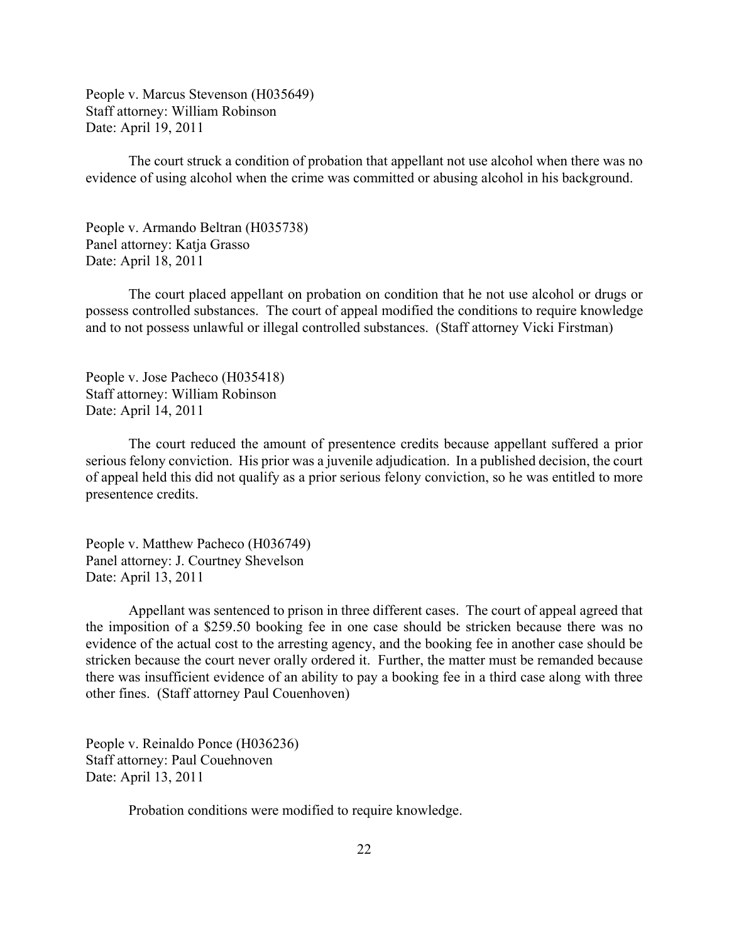People v. Marcus Stevenson (H035649) Staff attorney: William Robinson Date: April 19, 2011

The court struck a condition of probation that appellant not use alcohol when there was no evidence of using alcohol when the crime was committed or abusing alcohol in his background.

People v. Armando Beltran (H035738) Panel attorney: Katja Grasso Date: April 18, 2011

The court placed appellant on probation on condition that he not use alcohol or drugs or possess controlled substances. The court of appeal modified the conditions to require knowledge and to not possess unlawful or illegal controlled substances. (Staff attorney Vicki Firstman)

People v. Jose Pacheco (H035418) Staff attorney: William Robinson Date: April 14, 2011

The court reduced the amount of presentence credits because appellant suffered a prior serious felony conviction. His prior was a juvenile adjudication. In a published decision, the court of appeal held this did not qualify as a prior serious felony conviction, so he was entitled to more presentence credits.

People v. Matthew Pacheco (H036749) Panel attorney: J. Courtney Shevelson Date: April 13, 2011

Appellant was sentenced to prison in three different cases. The court of appeal agreed that the imposition of a \$259.50 booking fee in one case should be stricken because there was no evidence of the actual cost to the arresting agency, and the booking fee in another case should be stricken because the court never orally ordered it. Further, the matter must be remanded because there was insufficient evidence of an ability to pay a booking fee in a third case along with three other fines. (Staff attorney Paul Couenhoven)

People v. Reinaldo Ponce (H036236) Staff attorney: Paul Couehnoven Date: April 13, 2011

Probation conditions were modified to require knowledge.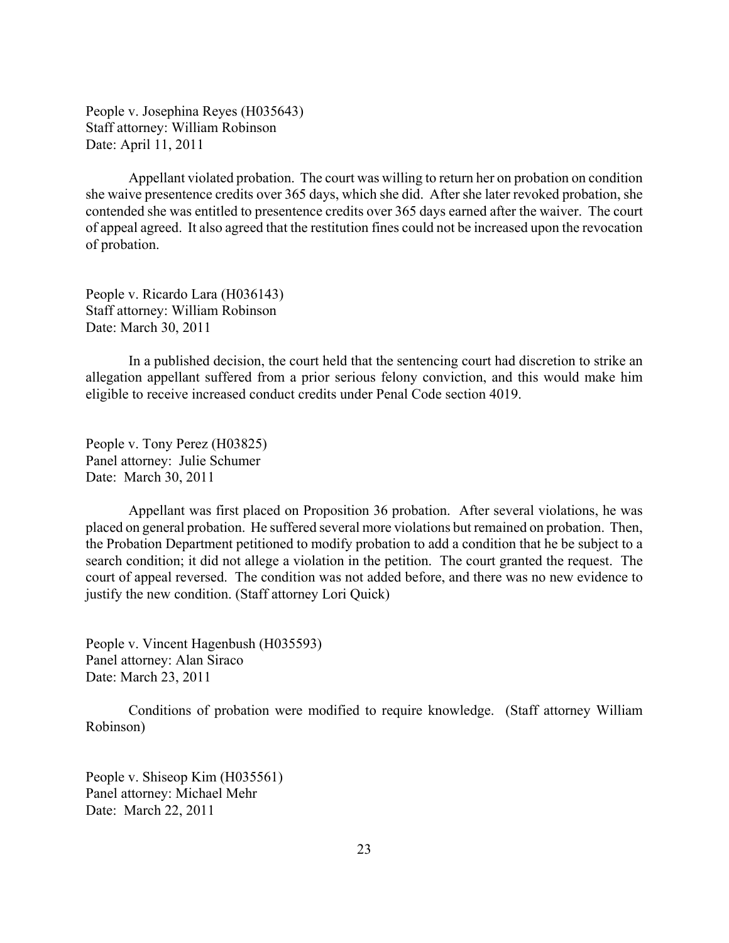People v. Josephina Reyes (H035643) Staff attorney: William Robinson Date: April 11, 2011

Appellant violated probation. The court was willing to return her on probation on condition she waive presentence credits over 365 days, which she did. After she later revoked probation, she contended she was entitled to presentence credits over 365 days earned after the waiver. The court of appeal agreed. It also agreed that the restitution fines could not be increased upon the revocation of probation.

People v. Ricardo Lara (H036143) Staff attorney: William Robinson Date: March 30, 2011

In a published decision, the court held that the sentencing court had discretion to strike an allegation appellant suffered from a prior serious felony conviction, and this would make him eligible to receive increased conduct credits under Penal Code section 4019.

People v. Tony Perez (H03825) Panel attorney: Julie Schumer Date: March 30, 2011

Appellant was first placed on Proposition 36 probation. After several violations, he was placed on general probation. He suffered several more violations but remained on probation. Then, the Probation Department petitioned to modify probation to add a condition that he be subject to a search condition; it did not allege a violation in the petition. The court granted the request. The court of appeal reversed. The condition was not added before, and there was no new evidence to justify the new condition. (Staff attorney Lori Quick)

People v. Vincent Hagenbush (H035593) Panel attorney: Alan Siraco Date: March 23, 2011

Conditions of probation were modified to require knowledge. (Staff attorney William Robinson)

People v. Shiseop Kim (H035561) Panel attorney: Michael Mehr Date: March 22, 2011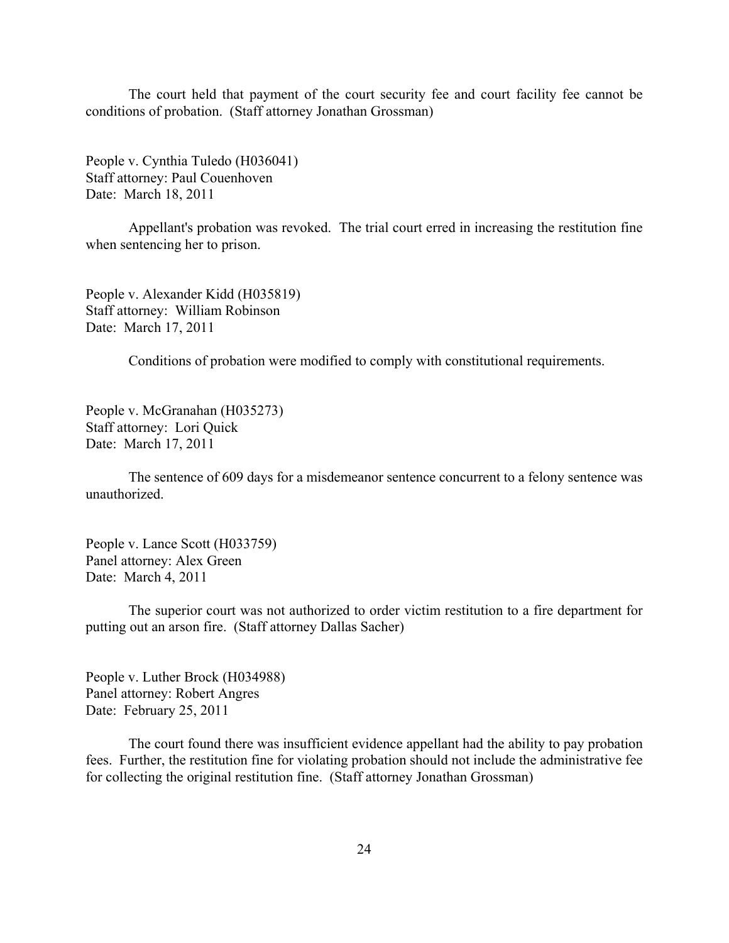The court held that payment of the court security fee and court facility fee cannot be conditions of probation. (Staff attorney Jonathan Grossman)

People v. Cynthia Tuledo (H036041) Staff attorney: Paul Couenhoven Date: March 18, 2011

Appellant's probation was revoked. The trial court erred in increasing the restitution fine when sentencing her to prison.

People v. Alexander Kidd (H035819) Staff attorney: William Robinson Date: March 17, 2011

Conditions of probation were modified to comply with constitutional requirements.

People v. McGranahan (H035273) Staff attorney: Lori Quick Date: March 17, 2011

The sentence of 609 days for a misdemeanor sentence concurrent to a felony sentence was unauthorized.

People v. Lance Scott (H033759) Panel attorney: Alex Green Date: March 4, 2011

The superior court was not authorized to order victim restitution to a fire department for putting out an arson fire. (Staff attorney Dallas Sacher)

People v. Luther Brock (H034988) Panel attorney: Robert Angres Date: February 25, 2011

The court found there was insufficient evidence appellant had the ability to pay probation fees. Further, the restitution fine for violating probation should not include the administrative fee for collecting the original restitution fine. (Staff attorney Jonathan Grossman)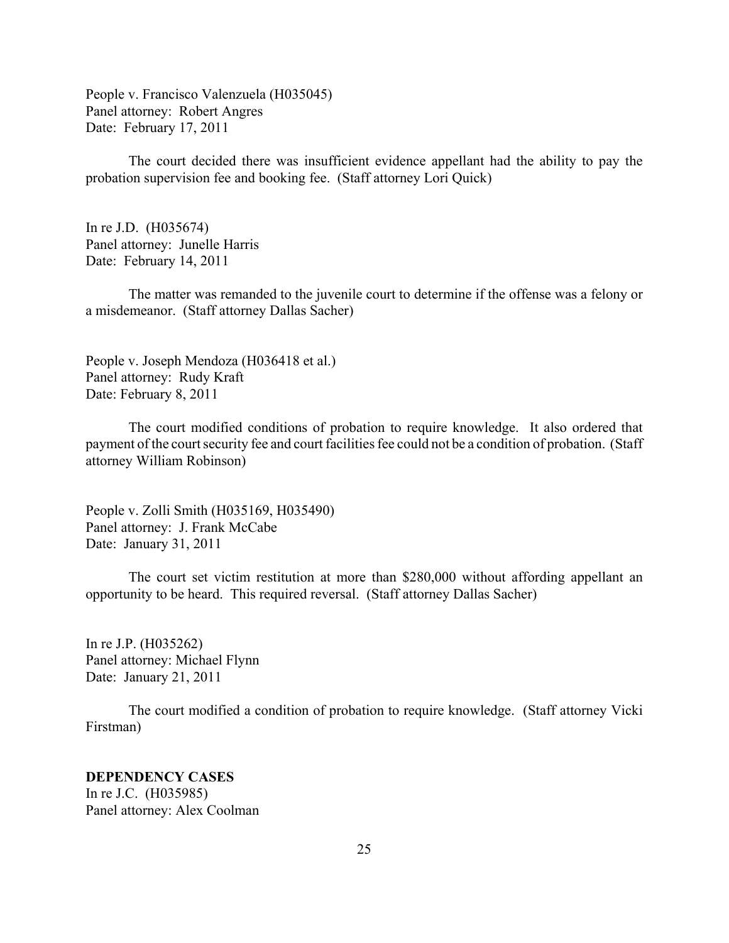<span id="page-24-0"></span>People v. Francisco Valenzuela (H035045) Panel attorney: Robert Angres Date: February 17, 2011

The court decided there was insufficient evidence appellant had the ability to pay the probation supervision fee and booking fee. (Staff attorney Lori Quick)

In re J.D. (H035674) Panel attorney: Junelle Harris Date: February 14, 2011

The matter was remanded to the juvenile court to determine if the offense was a felony or a misdemeanor. (Staff attorney Dallas Sacher)

People v. Joseph Mendoza (H036418 et al.) Panel attorney: Rudy Kraft Date: February 8, 2011

The court modified conditions of probation to require knowledge. It also ordered that payment of the court security fee and court facilities fee could not be a condition of probation. (Staff attorney William Robinson)

People v. Zolli Smith (H035169, H035490) Panel attorney: J. Frank McCabe Date: January 31, 2011

The court set victim restitution at more than \$280,000 without affording appellant an opportunity to be heard. This required reversal. (Staff attorney Dallas Sacher)

In re J.P. (H035262) Panel attorney: Michael Flynn Date: January 21, 2011

The court modified a condition of probation to require knowledge. (Staff attorney Vicki Firstman)

# **DEPENDENCY CASES** In re J.C. (H035985) Panel attorney: Alex Coolman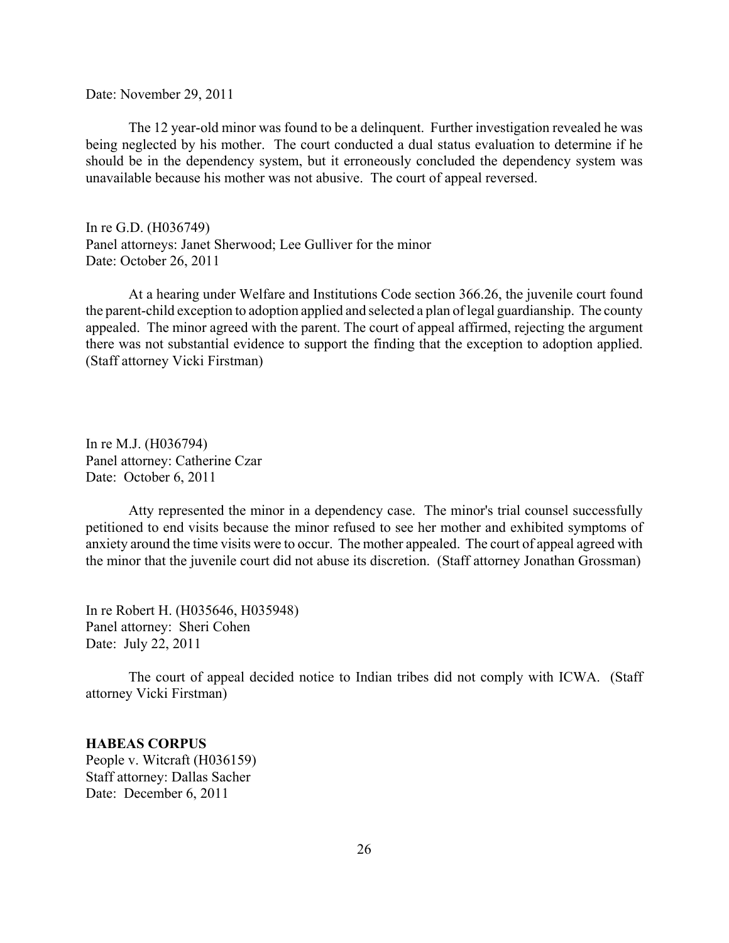Date: November 29, 2011

The 12 year-old minor was found to be a delinquent. Further investigation revealed he was being neglected by his mother. The court conducted a dual status evaluation to determine if he should be in the dependency system, but it erroneously concluded the dependency system was unavailable because his mother was not abusive. The court of appeal reversed.

In re G.D. (H036749) Panel attorneys: Janet Sherwood; Lee Gulliver for the minor Date: October 26, 2011

At a hearing under Welfare and Institutions Code section 366.26, the juvenile court found the parent-child exception to adoption applied and selected a plan of legal guardianship. The county appealed. The minor agreed with the parent. The court of appeal affirmed, rejecting the argument there was not substantial evidence to support the finding that the exception to adoption applied. (Staff attorney Vicki Firstman)

In re M.J. (H036794) Panel attorney: Catherine Czar Date: October 6, 2011

Atty represented the minor in a dependency case. The minor's trial counsel successfully petitioned to end visits because the minor refused to see her mother and exhibited symptoms of anxiety around the time visits were to occur. The mother appealed. The court of appeal agreed with the minor that the juvenile court did not abuse its discretion. (Staff attorney Jonathan Grossman)

In re Robert H. (H035646, H035948) Panel attorney: Sheri Cohen Date: July 22, 2011

The court of appeal decided notice to Indian tribes did not comply with ICWA. (Staff attorney Vicki Firstman)

**HABEAS CORPUS** People v. Witcraft (H036159)

Staff attorney: Dallas Sacher Date: December 6, 2011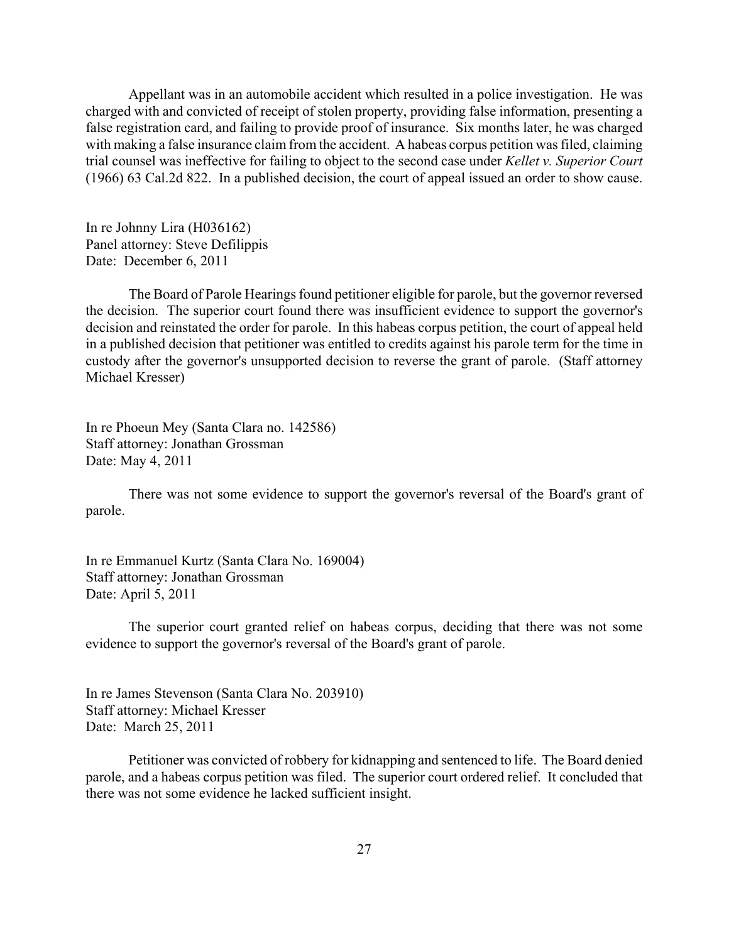<span id="page-26-0"></span>Appellant was in an automobile accident which resulted in a police investigation. He was charged with and convicted of receipt of stolen property, providing false information, presenting a false registration card, and failing to provide proof of insurance. Six months later, he was charged with making a false insurance claim from the accident. A habeas corpus petition was filed, claiming trial counsel was ineffective for failing to object to the second case under *Kellet v. Superior Court* (1966) 63 Cal.2d 822. In a published decision, the court of appeal issued an order to show cause.

In re Johnny Lira (H036162) Panel attorney: Steve Defilippis Date: December 6, 2011

The Board of Parole Hearings found petitioner eligible for parole, but the governor reversed the decision. The superior court found there was insufficient evidence to support the governor's decision and reinstated the order for parole. In this habeas corpus petition, the court of appeal held in a published decision that petitioner was entitled to credits against his parole term for the time in custody after the governor's unsupported decision to reverse the grant of parole. (Staff attorney Michael Kresser)

In re Phoeun Mey (Santa Clara no. 142586) Staff attorney: Jonathan Grossman Date: May 4, 2011

There was not some evidence to support the governor's reversal of the Board's grant of parole.

In re Emmanuel Kurtz (Santa Clara No. 169004) Staff attorney: Jonathan Grossman Date: April 5, 2011

The superior court granted relief on habeas corpus, deciding that there was not some evidence to support the governor's reversal of the Board's grant of parole.

In re James Stevenson (Santa Clara No. 203910) Staff attorney: Michael Kresser Date: March 25, 2011

Petitioner was convicted of robbery for kidnapping and sentenced to life. The Board denied parole, and a habeas corpus petition was filed. The superior court ordered relief. It concluded that there was not some evidence he lacked sufficient insight.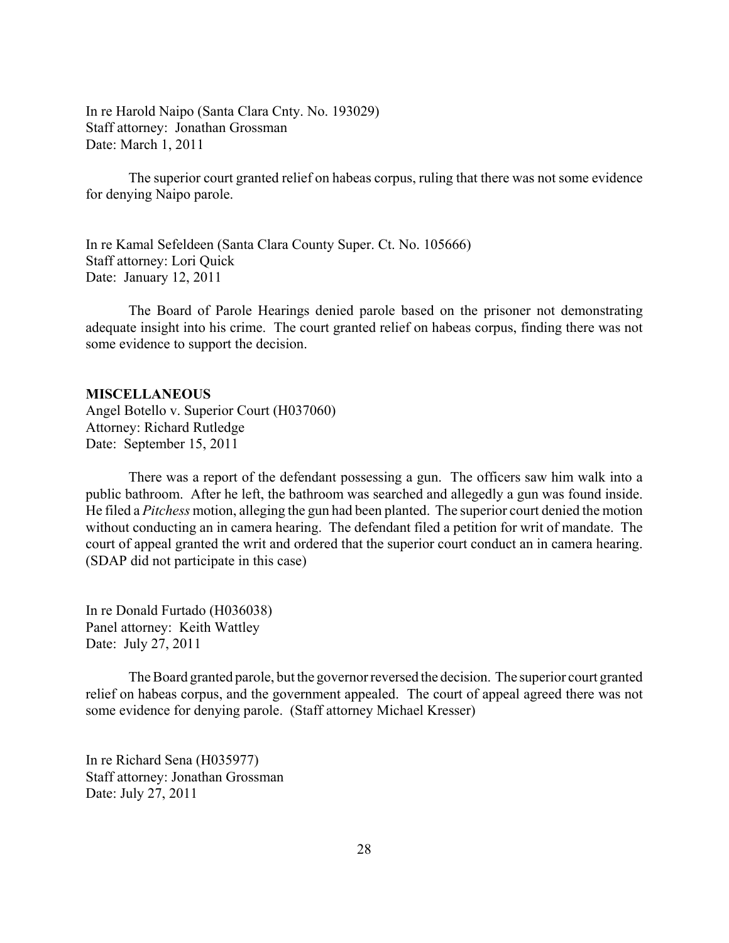<span id="page-27-0"></span>In re Harold Naipo (Santa Clara Cnty. No. 193029) Staff attorney: Jonathan Grossman Date: March 1, 2011

The superior court granted relief on habeas corpus, ruling that there was not some evidence for denying Naipo parole.

In re Kamal Sefeldeen (Santa Clara County Super. Ct. No. 105666) Staff attorney: Lori Quick Date: January 12, 2011

The Board of Parole Hearings denied parole based on the prisoner not demonstrating adequate insight into his crime. The court granted relief on habeas corpus, finding there was not some evidence to support the decision.

#### **MISCELLANEOUS**

Angel Botello v. Superior Court (H037060) Attorney: Richard Rutledge Date: September 15, 2011

There was a report of the defendant possessing a gun. The officers saw him walk into a public bathroom. After he left, the bathroom was searched and allegedly a gun was found inside. He filed a *Pitchess* motion, alleging the gun had been planted. The superior court denied the motion without conducting an in camera hearing. The defendant filed a petition for writ of mandate. The court of appeal granted the writ and ordered that the superior court conduct an in camera hearing. (SDAP did not participate in this case)

In re Donald Furtado (H036038) Panel attorney: Keith Wattley Date: July 27, 2011

The Board granted parole, but the governor reversed the decision. The superior court granted relief on habeas corpus, and the government appealed. The court of appeal agreed there was not some evidence for denying parole. (Staff attorney Michael Kresser)

In re Richard Sena (H035977) Staff attorney: Jonathan Grossman Date: July 27, 2011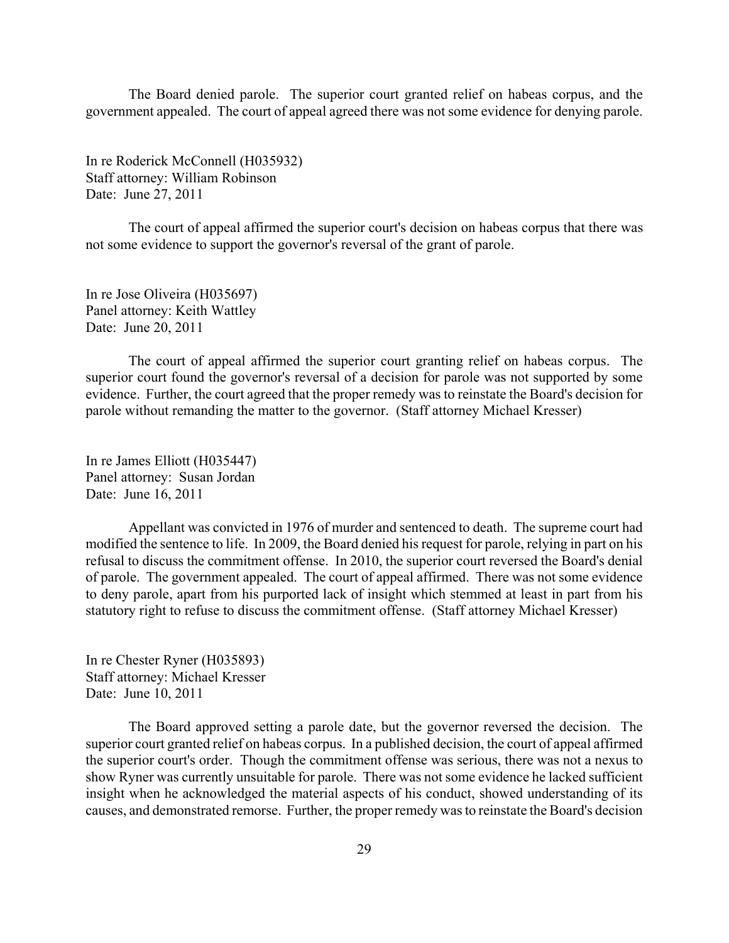The Board denied parole. The superior court granted relief on habeas corpus, and the government appealed. The court of appeal agreed there was not some evidence for denying parole.

In re Roderick McConnell (H035932) Staff attorney: William Robinson Date: June 27, 2011

The court of appeal affirmed the superior court's decision on habeas corpus that there was not some evidence to support the governor's reversal of the grant of parole.

In re Jose Oliveira (H035697) Panel attorney: Keith Wattley Date: June 20, 2011

The court of appeal affirmed the superior court granting relief on habeas corpus. The superior court found the governor's reversal of a decision for parole was not supported by some evidence. Further, the court agreed that the proper remedy was to reinstate the Board's decision for parole without remanding the matter to the governor. (Staff attorney Michael Kresser)

In re James Elliott (H035447) Panel attorney: Susan Jordan Date: June 16, 2011

Appellant was convicted in 1976 of murder and sentenced to death. The supreme court had modified the sentence to life. In 2009, the Board denied his request for parole, relying in part on his refusal to discuss the commitment offense. In 2010, the superior court reversed the Board's denial of parole. The government appealed. The court of appeal affirmed. There was not some evidence to deny parole, apart from his purported lack of insight which stemmed at least in part from his statutory right to refuse to discuss the commitment offense. (Staff attorney Michael Kresser)

In re Chester Ryner (H035893) Staff attorney: Michael Kresser Date: June 10, 2011

The Board approved setting a parole date, but the governor reversed the decision. The superior court granted relief on habeas corpus. In a published decision, the court of appeal affirmed the superior court's order. Though the commitment offense was serious, there was not a nexus to show Ryner was currently unsuitable for parole. There was not some evidence he lacked sufficient insight when he acknowledged the material aspects of his conduct, showed understanding of its causes, and demonstrated remorse. Further, the proper remedy was to reinstate the Board's decision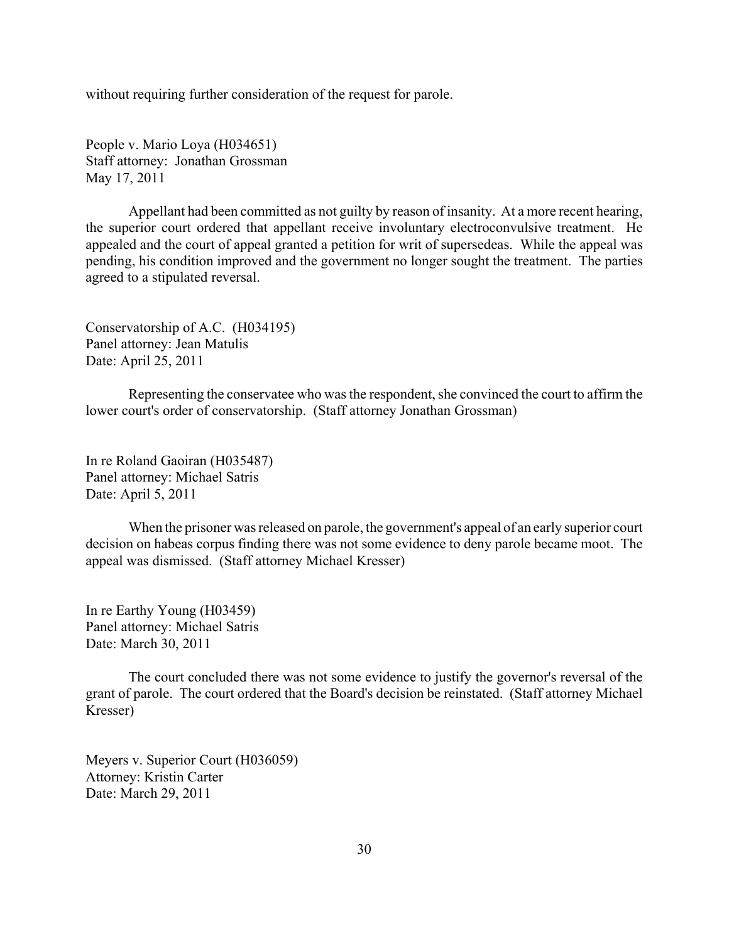without requiring further consideration of the request for parole.

People v. Mario Loya (H034651) Staff attorney: Jonathan Grossman May 17, 2011

Appellant had been committed as not guilty by reason of insanity. At a more recent hearing, the superior court ordered that appellant receive involuntary electroconvulsive treatment. He appealed and the court of appeal granted a petition for writ of supersedeas. While the appeal was pending, his condition improved and the government no longer sought the treatment. The parties agreed to a stipulated reversal.

Conservatorship of A.C. (H034195) Panel attorney: Jean Matulis Date: April 25, 2011

Representing the conservatee who was the respondent, she convinced the court to affirm the lower court's order of conservatorship. (Staff attorney Jonathan Grossman)

In re Roland Gaoiran (H035487) Panel attorney: Michael Satris Date: April 5, 2011

When the prisoner was released on parole, the government's appeal of an early superior court decision on habeas corpus finding there was not some evidence to deny parole became moot. The appeal was dismissed. (Staff attorney Michael Kresser)

In re Earthy Young (H03459) Panel attorney: Michael Satris Date: March 30, 2011

The court concluded there was not some evidence to justify the governor's reversal of the grant of parole. The court ordered that the Board's decision be reinstated. (Staff attorney Michael Kresser)

Meyers v. Superior Court (H036059) Attorney: Kristin Carter Date: March 29, 2011